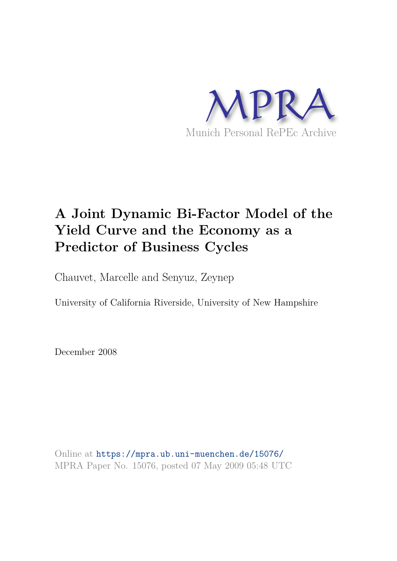

# **A Joint Dynamic Bi-Factor Model of the Yield Curve and the Economy as a Predictor of Business Cycles**

Chauvet, Marcelle and Senyuz, Zeynep

University of California Riverside, University of New Hampshire

December 2008

Online at https://mpra.ub.uni-muenchen.de/15076/ MPRA Paper No. 15076, posted 07 May 2009 05:48 UTC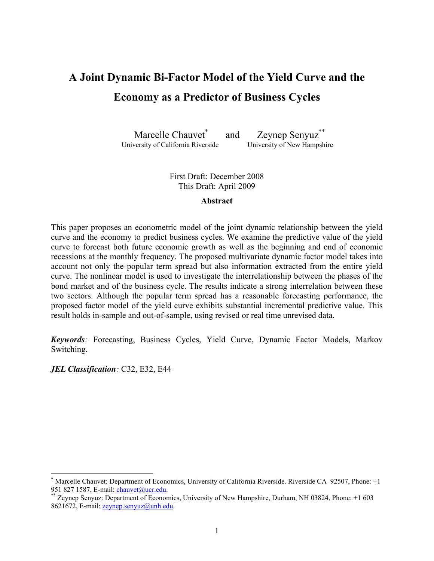## **A Joint Dynamic Bi-Factor Model of the Yield Curve and the Economy as a Predictor of Business Cycles**

Marcelle Chauvet<sup>\*</sup> and Zeynep Senyuz<sup>\*\*</sup><br>University of New Hampshire University of California Riverside

> First Draft: December 2008 This Draft: April 2009

#### **Abstract**

This paper proposes an econometric model of the joint dynamic relationship between the yield curve and the economy to predict business cycles. We examine the predictive value of the yield curve to forecast both future economic growth as well as the beginning and end of economic recessions at the monthly frequency. The proposed multivariate dynamic factor model takes into account not only the popular term spread but also information extracted from the entire yield curve. The nonlinear model is used to investigate the interrelationship between the phases of the bond market and of the business cycle. The results indicate a strong interrelation between these two sectors. Although the popular term spread has a reasonable forecasting performance, the proposed factor model of the yield curve exhibits substantial incremental predictive value. This result holds in-sample and out-of-sample, using revised or real time unrevised data.

*Keywords:* Forecasting, Business Cycles, Yield Curve, Dynamic Factor Models, Markov Switching.

*JEL Classification:* C32, E32, E44

-

<sup>\*</sup> Marcelle Chauvet: Department of Economics, University of California Riverside. Riverside CA 92507, Phone: +1 951 827 1587, E-mail: chauvet@ucr.edu.

Zeynep Senyuz: Department of Economics, University of New Hampshire, Durham, NH 03824, Phone: +1 603 8621672, E-mail: zeynep.senyuz@unh.edu.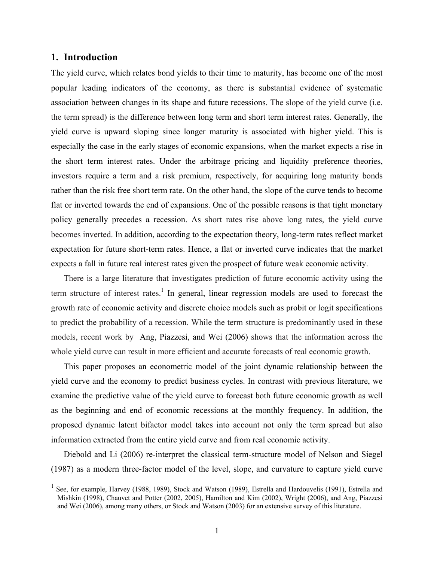## **1. Introduction**

 $\overline{a}$ 

The yield curve, which relates bond yields to their time to maturity, has become one of the most popular leading indicators of the economy, as there is substantial evidence of systematic association between changes in its shape and future recessions. The slope of the yield curve (i.e. the term spread) is the difference between long term and short term interest rates. Generally, the yield curve is upward sloping since longer maturity is associated with higher yield. This is especially the case in the early stages of economic expansions, when the market expects a rise in the short term interest rates. Under the arbitrage pricing and liquidity preference theories, investors require a term and a risk premium, respectively, for acquiring long maturity bonds rather than the risk free short term rate. On the other hand, the slope of the curve tends to become flat or inverted towards the end of expansions. One of the possible reasons is that tight monetary policy generally precedes a recession. As short rates rise above long rates, the yield curve becomes inverted. In addition, according to the expectation theory, long-term rates reflect market expectation for future short-term rates. Hence, a flat or inverted curve indicates that the market expects a fall in future real interest rates given the prospect of future weak economic activity.

There is a large literature that investigates prediction of future economic activity using the term structure of interest rates.<sup>1</sup> In general, linear regression models are used to forecast the growth rate of economic activity and discrete choice models such as probit or logit specifications to predict the probability of a recession. While the term structure is predominantly used in these models, recent work by Ang, Piazzesi, and Wei (2006) shows that the information across the whole yield curve can result in more efficient and accurate forecasts of real economic growth.

This paper proposes an econometric model of the joint dynamic relationship between the yield curve and the economy to predict business cycles. In contrast with previous literature, we examine the predictive value of the yield curve to forecast both future economic growth as well as the beginning and end of economic recessions at the monthly frequency. In addition, the proposed dynamic latent bifactor model takes into account not only the term spread but also information extracted from the entire yield curve and from real economic activity.

 Diebold and Li (2006) re-interpret the classical term-structure model of Nelson and Siegel (1987) as a modern three-factor model of the level, slope, and curvature to capture yield curve

<sup>1</sup> See, for example, Harvey (1988, 1989), Stock and Watson (1989), Estrella and Hardouvelis (1991), Estrella and Mishkin (1998), Chauvet and Potter (2002, 2005), Hamilton and Kim (2002), Wright (2006), and Ang, Piazzesi and Wei (2006), among many others, or Stock and Watson (2003) for an extensive survey of this literature.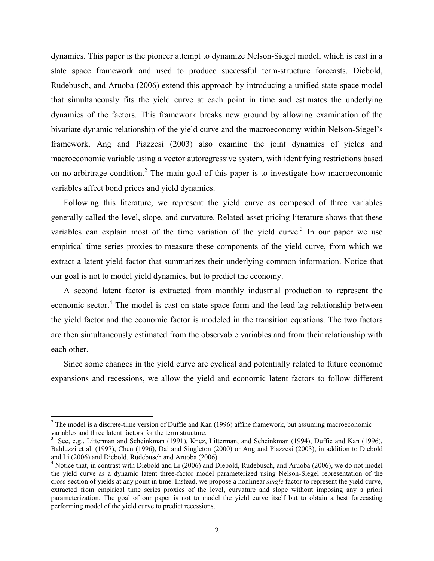dynamics. This paper is the pioneer attempt to dynamize Nelson-Siegel model, which is cast in a state space framework and used to produce successful term-structure forecasts. Diebold, Rudebusch, and Aruoba (2006) extend this approach by introducing a unified state-space model that simultaneously fits the yield curve at each point in time and estimates the underlying dynamics of the factors. This framework breaks new ground by allowing examination of the bivariate dynamic relationship of the yield curve and the macroeconomy within Nelson-Siegel's framework. Ang and Piazzesi (2003) also examine the joint dynamics of yields and macroeconomic variable using a vector autoregressive system, with identifying restrictions based on no-arbirtrage condition.<sup>2</sup> The main goal of this paper is to investigate how macroeconomic variables affect bond prices and yield dynamics.

 Following this literature, we represent the yield curve as composed of three variables generally called the level, slope, and curvature. Related asset pricing literature shows that these variables can explain most of the time variation of the yield curve.<sup>3</sup> In our paper we use empirical time series proxies to measure these components of the yield curve, from which we extract a latent yield factor that summarizes their underlying common information. Notice that our goal is not to model yield dynamics, but to predict the economy.

 A second latent factor is extracted from monthly industrial production to represent the economic sector.<sup>4</sup> The model is cast on state space form and the lead-lag relationship between the yield factor and the economic factor is modeled in the transition equations. The two factors are then simultaneously estimated from the observable variables and from their relationship with each other.

 Since some changes in the yield curve are cyclical and potentially related to future economic expansions and recessions, we allow the yield and economic latent factors to follow different

<u>.</u>

 $2$  The model is a discrete-time version of Duffie and Kan (1996) affine framework, but assuming macroeconomic variables and three latent factors for the term structure.

<sup>&</sup>lt;sup>3</sup> See, e.g., Litterman and Scheinkman (1991), Knez, Litterman, and Scheinkman (1994), Duffie and Kan (1996), Balduzzi et al. (1997), Chen (1996), Dai and Singleton (2000) or Ang and Piazzesi (2003), in addition to Diebold and Li (2006) and Diebold, Rudebusch and Aruoba (2006).

<sup>&</sup>lt;sup>4</sup> Notice that, in contrast with Diebold and Li (2006) and Diebold, Rudebusch, and Aruoba (2006), we do not model the yield curve as a dynamic latent three-factor model parameterized using Nelson-Siegel representation of the cross-section of yields at any point in time. Instead, we propose a nonlinear *single* factor to represent the yield curve, extracted from empirical time series proxies of the level, curvature and slope without imposing any a priori parameterization. The goal of our paper is not to model the yield curve itself but to obtain a best forecasting performing model of the yield curve to predict recessions.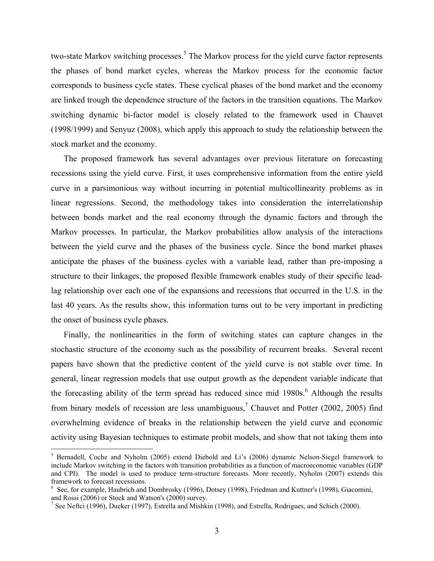two-state Markov switching processes.<sup>5</sup> The Markov process for the yield curve factor represents the phases of bond market cycles, whereas the Markov process for the economic factor corresponds to business cycle states. These cyclical phases of the bond market and the economy are linked trough the dependence structure of the factors in the transition equations. The Markov switching dynamic bi-factor model is closely related to the framework used in Chauvet (1998/1999) and Senyuz (2008), which apply this approach to study the relationship between the stock market and the economy.

 The proposed framework has several advantages over previous literature on forecasting recessions using the yield curve. First, it uses comprehensive information from the entire yield curve in a parsimonious way without incurring in potential multicollinearity problems as in linear regressions. Second, the methodology takes into consideration the interrelationship between bonds market and the real economy through the dynamic factors and through the Markov processes. In particular, the Markov probabilities allow analysis of the interactions between the yield curve and the phases of the business cycle. Since the bond market phases anticipate the phases of the business cycles with a variable lead, rather than pre-imposing a structure to their linkages, the proposed flexible framework enables study of their specific leadlag relationship over each one of the expansions and recessions that occurred in the U.S. in the last 40 years. As the results show, this information turns out to be very important in predicting the onset of business cycle phases.

 Finally, the nonlinearities in the form of switching states can capture changes in the stochastic structure of the economy such as the possibility of recurrent breaks. Several recent papers have shown that the predictive content of the yield curve is not stable over time. In general, linear regression models that use output growth as the dependent variable indicate that the forecasting ability of the term spread has reduced since mid 1980s.<sup>6</sup> Although the results from binary models of recession are less unambiguous,<sup>7</sup> Chauvet and Potter (2002, 2005) find overwhelming evidence of breaks in the relationship between the yield curve and economic activity using Bayesian techniques to estimate probit models, and show that not taking them into

 5 Bernadell, Coche and Nyholm (2005) extend Diebold and Li's (2006) dynamic Nelson-Siegel framework to include Markov switching in the factors with transition probabilities as a function of macroeconomic variables (GDP and CPI). The model is used to produce term-structure forecasts. More recently, Nyholm (2007) extends this framework to forecast recessions.

<sup>&</sup>lt;sup>6</sup> See, for example, Haubrich and Dombrosky (1996), Dotsey (1998), Friedman and Kuttner's (1998), Giacomini, and Rossi (2006) or Stock and Watson's (2000) survey.

<sup>&</sup>lt;sup>7</sup> See Neftci (1996), Dueker (1997), Estrella and Mishkin (1998), and Estrella, Rodrigues, and Schich (2000).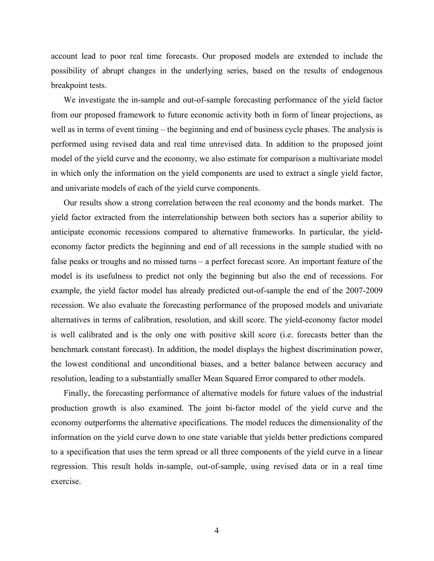account lead to poor real time forecasts. Our proposed models are extended to include the possibility of abrupt changes in the underlying series, based on the results of endogenous breakpoint tests.

 We investigate the in-sample and out-of-sample forecasting performance of the yield factor from our proposed framework to future economic activity both in form of linear projections, as well as in terms of event timing – the beginning and end of business cycle phases. The analysis is performed using revised data and real time unrevised data. In addition to the proposed joint model of the yield curve and the economy, we also estimate for comparison a multivariate model in which only the information on the yield components are used to extract a single yield factor, and univariate models of each of the yield curve components.

 Our results show a strong correlation between the real economy and the bonds market. The yield factor extracted from the interrelationship between both sectors has a superior ability to anticipate economic recessions compared to alternative frameworks. In particular, the yieldeconomy factor predicts the beginning and end of all recessions in the sample studied with no false peaks or troughs and no missed turns – a perfect forecast score. An important feature of the model is its usefulness to predict not only the beginning but also the end of recessions. For example, the yield factor model has already predicted out-of-sample the end of the 2007-2009 recession. We also evaluate the forecasting performance of the proposed models and univariate alternatives in terms of calibration, resolution, and skill score. The yield-economy factor model is well calibrated and is the only one with positive skill score (i.e. forecasts better than the benchmark constant forecast). In addition, the model displays the highest discrimination power, the lowest conditional and unconditional biases, and a better balance between accuracy and resolution, leading to a substantially smaller Mean Squared Error compared to other models.

 Finally, the forecasting performance of alternative models for future values of the industrial production growth is also examined. The joint bi-factor model of the yield curve and the economy outperforms the alternative specifications. The model reduces the dimensionality of the information on the yield curve down to one state variable that yields better predictions compared to a specification that uses the term spread or all three components of the yield curve in a linear regression. This result holds in-sample, out-of-sample, using revised data or in a real time exercise.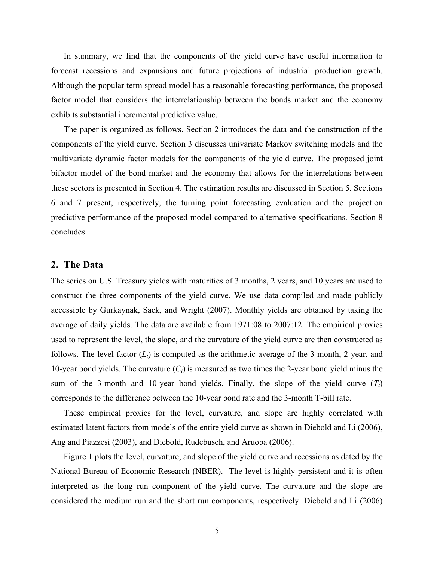In summary, we find that the components of the yield curve have useful information to forecast recessions and expansions and future projections of industrial production growth. Although the popular term spread model has a reasonable forecasting performance, the proposed factor model that considers the interrelationship between the bonds market and the economy exhibits substantial incremental predictive value.

 The paper is organized as follows. Section 2 introduces the data and the construction of the components of the yield curve. Section 3 discusses univariate Markov switching models and the multivariate dynamic factor models for the components of the yield curve. The proposed joint bifactor model of the bond market and the economy that allows for the interrelations between these sectors is presented in Section 4. The estimation results are discussed in Section 5. Sections 6 and 7 present, respectively, the turning point forecasting evaluation and the projection predictive performance of the proposed model compared to alternative specifications. Section 8 concludes.

## **2. The Data**

The series on U.S. Treasury yields with maturities of 3 months, 2 years, and 10 years are used to construct the three components of the yield curve. We use data compiled and made publicly accessible by Gurkaynak, Sack, and Wright (2007). Monthly yields are obtained by taking the average of daily yields. The data are available from 1971:08 to 2007:12. The empirical proxies used to represent the level, the slope, and the curvature of the yield curve are then constructed as follows. The level factor  $(L_t)$  is computed as the arithmetic average of the 3-month, 2-year, and 10-year bond yields. The curvature (*Ct*) is measured as two times the 2-year bond yield minus the sum of the 3-month and 10-year bond yields. Finally, the slope of the yield curve  $(T_t)$ corresponds to the difference between the 10-year bond rate and the 3-month T-bill rate.

 These empirical proxies for the level, curvature, and slope are highly correlated with estimated latent factors from models of the entire yield curve as shown in Diebold and Li (2006), Ang and Piazzesi (2003), and Diebold, Rudebusch, and Aruoba (2006).

 Figure 1 plots the level, curvature, and slope of the yield curve and recessions as dated by the National Bureau of Economic Research (NBER). The level is highly persistent and it is often interpreted as the long run component of the yield curve. The curvature and the slope are considered the medium run and the short run components, respectively. Diebold and Li (2006)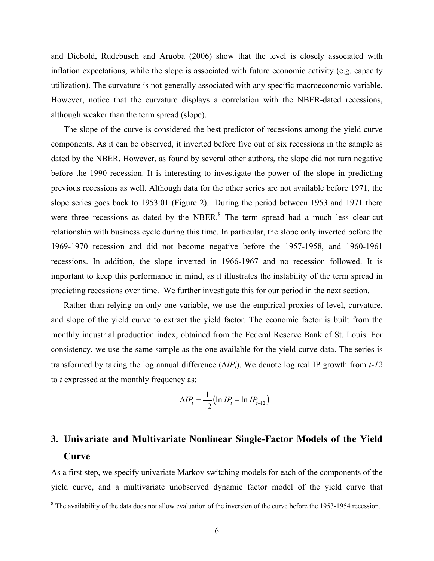and Diebold, Rudebusch and Aruoba (2006) show that the level is closely associated with inflation expectations, while the slope is associated with future economic activity (e.g. capacity utilization). The curvature is not generally associated with any specific macroeconomic variable. However, notice that the curvature displays a correlation with the NBER-dated recessions, although weaker than the term spread (slope).

 The slope of the curve is considered the best predictor of recessions among the yield curve components. As it can be observed, it inverted before five out of six recessions in the sample as dated by the NBER. However, as found by several other authors, the slope did not turn negative before the 1990 recession. It is interesting to investigate the power of the slope in predicting previous recessions as well. Although data for the other series are not available before 1971, the slope series goes back to 1953:01 (Figure 2). During the period between 1953 and 1971 there were three recessions as dated by the NBER. $<sup>8</sup>$  The term spread had a much less clear-cut</sup> relationship with business cycle during this time. In particular, the slope only inverted before the 1969-1970 recession and did not become negative before the 1957-1958, and 1960-1961 recessions. In addition, the slope inverted in 1966-1967 and no recession followed. It is important to keep this performance in mind, as it illustrates the instability of the term spread in predicting recessions over time. We further investigate this for our period in the next section.

 Rather than relying on only one variable, we use the empirical proxies of level, curvature, and slope of the yield curve to extract the yield factor. The economic factor is built from the monthly industrial production index, obtained from the Federal Reserve Bank of St. Louis. For consistency, we use the same sample as the one available for the yield curve data. The series is transformed by taking the log annual difference (Δ*IPt*). We denote log real IP growth from *t-12* to *t* expressed at the monthly frequency as:

$$
\Delta IP_t = \frac{1}{12} \left( \ln IP_t - \ln IP_{t-12} \right)
$$

## **3. Univariate and Multivariate Nonlinear Single-Factor Models of the Yield Curve**

As a first step, we specify univariate Markov switching models for each of the components of the yield curve, and a multivariate unobserved dynamic factor model of the yield curve that

<sup>&</sup>lt;sup>8</sup> The availability of the data does not allow evaluation of the inversion of the curve before the 1953-1954 recession.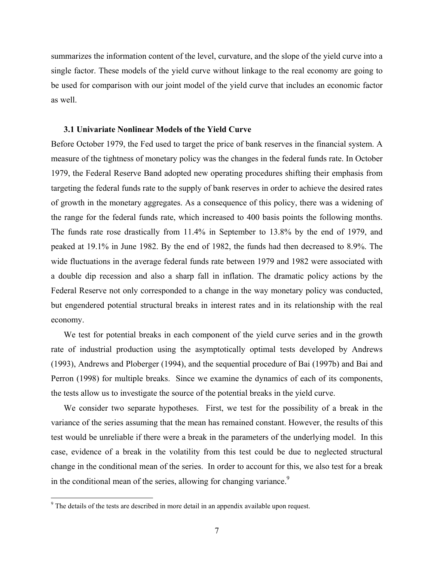summarizes the information content of the level, curvature, and the slope of the yield curve into a single factor. These models of the yield curve without linkage to the real economy are going to be used for comparison with our joint model of the yield curve that includes an economic factor as well.

#### **3.1 Univariate Nonlinear Models of the Yield Curve**

Before October 1979, the Fed used to target the price of bank reserves in the financial system. A measure of the tightness of monetary policy was the changes in the federal funds rate. In October 1979, the Federal Reserve Band adopted new operating procedures shifting their emphasis from targeting the federal funds rate to the supply of bank reserves in order to achieve the desired rates of growth in the monetary aggregates. As a consequence of this policy, there was a widening of the range for the federal funds rate, which increased to 400 basis points the following months. The funds rate rose drastically from 11.4% in September to 13.8% by the end of 1979, and peaked at 19.1% in June 1982. By the end of 1982, the funds had then decreased to 8.9%. The wide fluctuations in the average federal funds rate between 1979 and 1982 were associated with a double dip recession and also a sharp fall in inflation. The dramatic policy actions by the Federal Reserve not only corresponded to a change in the way monetary policy was conducted, but engendered potential structural breaks in interest rates and in its relationship with the real economy.

 We test for potential breaks in each component of the yield curve series and in the growth rate of industrial production using the asymptotically optimal tests developed by Andrews (1993), Andrews and Ploberger (1994), and the sequential procedure of Bai (1997b) and Bai and Perron (1998) for multiple breaks. Since we examine the dynamics of each of its components, the tests allow us to investigate the source of the potential breaks in the yield curve.

 We consider two separate hypotheses. First, we test for the possibility of a break in the variance of the series assuming that the mean has remained constant. However, the results of this test would be unreliable if there were a break in the parameters of the underlying model. In this case, evidence of a break in the volatility from this test could be due to neglected structural change in the conditional mean of the series. In order to account for this, we also test for a break in the conditional mean of the series, allowing for changing variance.<sup>9</sup>

The details of the tests are described in more detail in an appendix available upon request.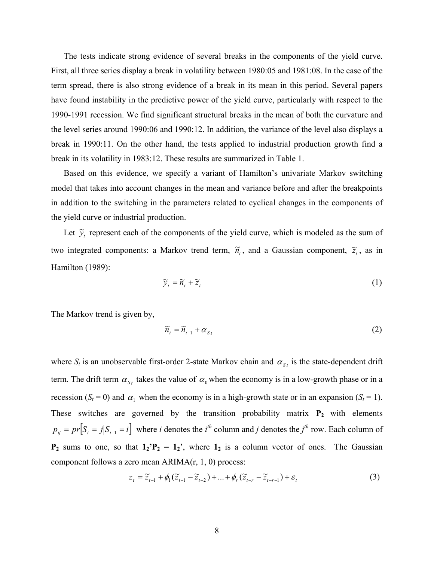The tests indicate strong evidence of several breaks in the components of the yield curve. First, all three series display a break in volatility between 1980:05 and 1981:08. In the case of the term spread, there is also strong evidence of a break in its mean in this period. Several papers have found instability in the predictive power of the yield curve, particularly with respect to the 1990-1991 recession. We find significant structural breaks in the mean of both the curvature and the level series around 1990:06 and 1990:12. In addition, the variance of the level also displays a break in 1990:11. On the other hand, the tests applied to industrial production growth find a break in its volatility in 1983:12. These results are summarized in Table 1.

 Based on this evidence, we specify a variant of Hamilton's univariate Markov switching model that takes into account changes in the mean and variance before and after the breakpoints in addition to the switching in the parameters related to cyclical changes in the components of the yield curve or industrial production.

Let  $\tilde{y}_t$  represent each of the components of the yield curve, which is modeled as the sum of two integrated components: a Markov trend term,  $\tilde{n}_t$ , and a Gaussian component,  $\tilde{z}_t$ , as in Hamilton (1989):

$$
\widetilde{\mathbf{y}}_t = \widetilde{n}_t + \widetilde{\mathbf{z}}_t \tag{1}
$$

The Markov trend is given by,

$$
\widetilde{n}_t = \widetilde{n}_{t-1} + \alpha_{S_t} \tag{2}
$$

where  $S_t$  is an unobservable first-order 2-state Markov chain and  $\alpha_{S_t}$  is the state-dependent drift term. The drift term  $\alpha_{s_t}$  takes the value of  $\alpha_0$  when the economy is in a low-growth phase or in a recession (*S<sub>t</sub>* = 0) and  $\alpha_1$  when the economy is in a high-growth state or in an expansion (*S<sub>t</sub>* = 1). These switches are governed by the transition probability matrix **P2** with elements  $p_{ij} = pr[S_i = j | S_{i-1} = i]$  where *i* denotes the *i*<sup>th</sup> column and *j* denotes the *j*<sup>th</sup> row. Each column of **P**<sub>2</sub> sums to one, so that  $1_2$ <sup> $\cdot$ </sup> $P_2 = 1_2$ <sup> $\cdot$ </sup>, where  $1_2$  is a column vector of ones. The Gaussian component follows a zero mean ARIMA(r, 1, 0) process:

$$
z_{t} = \widetilde{z}_{t-1} + \phi_{1}(\widetilde{z}_{t-1} - \widetilde{z}_{t-2}) + ... + \phi_{r}(\widetilde{z}_{t-r} - \widetilde{z}_{t-r-1}) + \varepsilon_{t}
$$
\n(3)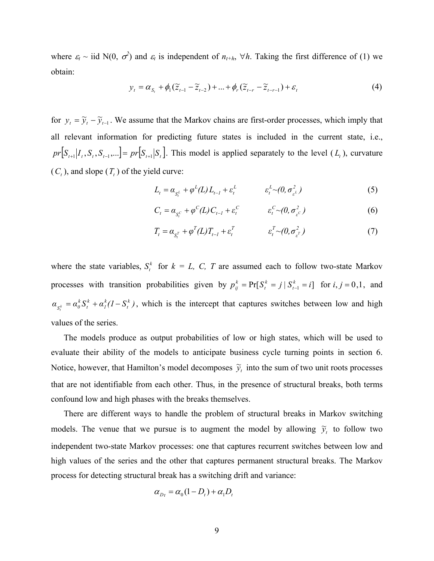where  $\varepsilon_t \sim$  iid N(0,  $\sigma^2$ ) and  $\varepsilon_t$  is independent of  $n_{t+h}$ ,  $\forall h$ . Taking the first difference of (1) we obtain:

$$
y_{t} = \alpha_{S_{t}} + \phi_{1}(\widetilde{z}_{t-1} - \widetilde{z}_{t-2}) + ... + \phi_{r}(\widetilde{z}_{t-r} - \widetilde{z}_{t-r-1}) + \varepsilon_{t}
$$
\n(4)

for  $y_t = \tilde{y}_t - \tilde{y}_{t-1}$ . We assume that the Markov chains are first-order processes, which imply that all relevant information for predicting future states is included in the current state, i.e.,  $pr[S_{t+1}|I_t, S_t, S_{t-1}, \dots] = pr[S_{t+1}|S_t]$ . This model is applied separately to the level  $(L_t)$ , curvature  $(C<sub>t</sub>)$ , and slope  $(T<sub>t</sub>)$  of the yield curve:

$$
L_t = \alpha_{S_t^L} + \varphi^L(L) L_{t-1} + \varepsilon_t^L \qquad \qquad \varepsilon_t^L \sim (0, \sigma_{\varepsilon^L}^2)
$$
 (5)

$$
C_t = \alpha_{s_t^c} + \varphi^c(L) C_{t-1} + \varepsilon_t^c \qquad \qquad \varepsilon_t^c \sim (0, \sigma_{\varepsilon^c}^2)
$$
 (6)

$$
T_t = \alpha_{S_t^T} + \varphi^T(L) T_{t-1} + \varepsilon_t^T \qquad \qquad \varepsilon_t^T \sim (0, \sigma_{\varepsilon^T}^2)
$$
 (7)

where the state variables,  $S_t^k$  for  $k = L$ , C, T are assumed each to follow two-state Markov processes with transition probabilities given by  $p_{ij}^k = Pr[S_i^k = j | S_{i-1}^k = i]$ *t k t*  $b_{ij}^k$  = Pr[ $S_t^k = j | S_{t-1}^k = i]$  for  $i, j = 0, 1$ , and  $\alpha_{S^k} = \alpha_0^k S_t^k + \alpha_l^k (I - S_t^k)$ *t k 1 k t k*  $s_i^k = \alpha_0^k S_t^k + \alpha_1^k (I - S_t^k)$ , which is the intercept that captures switches between low and high values of the series.

 The models produce as output probabilities of low or high states, which will be used to evaluate their ability of the models to anticipate business cycle turning points in section 6. Notice, however, that Hamilton's model decomposes  $\tilde{y}_t$  into the sum of two unit roots processes that are not identifiable from each other. Thus, in the presence of structural breaks, both terms confound low and high phases with the breaks themselves.

 There are different ways to handle the problem of structural breaks in Markov switching models. The venue that we pursue is to augment the model by allowing  $\tilde{y}_t$  to follow two independent two-state Markov processes: one that captures recurrent switches between low and high values of the series and the other that captures permanent structural breaks. The Markov process for detecting structural break has a switching drift and variance:

$$
\alpha_{D_t} = \alpha_0 (1 - D_t) + \alpha_1 D_t
$$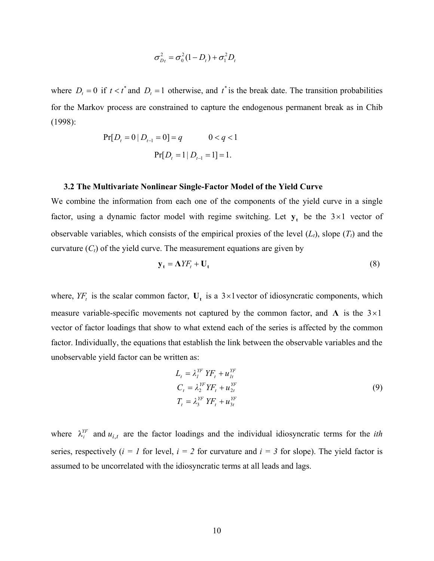$$
\sigma_{D_t}^2 = \sigma_0^2 (1 - D_t) + \sigma_1^2 D_t
$$

where  $D_t = 0$  if  $t < t^*$  and  $D_t = 1$  otherwise, and  $t^*$  is the break date. The transition probabilities for the Markov process are constrained to capture the endogenous permanent break as in Chib (1998):

$$
\Pr[D_t = 0 \mid D_{t-1} = 0] = q \qquad 0 < q < 1
$$
\n
$$
\Pr[D_t = 1 \mid D_{t-1} = 1] = 1.
$$

#### **3.2 The Multivariate Nonlinear Single-Factor Model of the Yield Curve**

We combine the information from each one of the components of the yield curve in a single factor, using a dynamic factor model with regime switching. Let  $y_t$  be the  $3 \times 1$  vector of observable variables, which consists of the empirical proxies of the level  $(L_t)$ , slope  $(T_t)$  and the curvature  $(C_t)$  of the yield curve. The measurement equations are given by

$$
\mathbf{y}_{t} = \mathbf{\Lambda} Y F_{t} + \mathbf{U}_{t} \tag{8}
$$

where,  $YF_t$  is the scalar common factor,  $U_t$  is a  $3 \times 1$  vector of idiosyncratic components, which measure variable-specific movements not captured by the common factor, and  $\Lambda$  is the  $3\times1$ vector of factor loadings that show to what extend each of the series is affected by the common factor. Individually, the equations that establish the link between the observable variables and the unobservable yield factor can be written as:

$$
L_t = \lambda_l^{YF} YF_t + u_{1t}^{YF}
$$
  
\n
$$
C_t = \lambda_2^{YF} YF_t + u_{2t}^{YF}
$$
  
\n
$$
T_t = \lambda_3^{YF} YF_t + u_{3t}^{YF}
$$
\n(9)

where  $\lambda_i^{YF}$  and  $u_{i,t}$  are the factor loadings and the individual idiosyncratic terms for the *ith* series, respectively  $(i = 1$  for level,  $i = 2$  for curvature and  $i = 3$  for slope). The yield factor is assumed to be uncorrelated with the idiosyncratic terms at all leads and lags.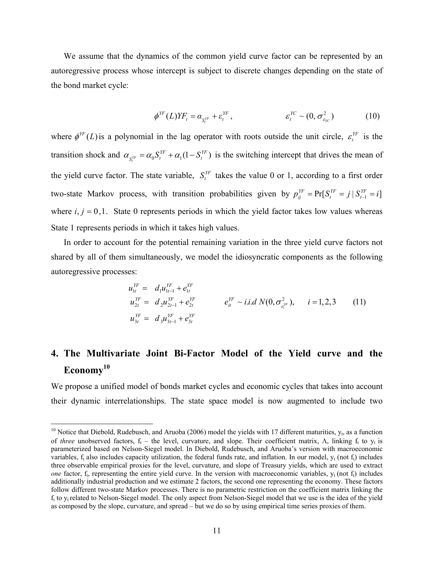We assume that the dynamics of the common yield curve factor can be represented by an autoregressive process whose intercept is subject to discrete changes depending on the state of the bond market cycle:

$$
\phi^{YF}(L)YF_t = \alpha_{S_t^{YF}} + \varepsilon_t^{YF}, \qquad \qquad \varepsilon_t^{YC} \sim (0, \sigma_{\varepsilon_{YC}}^2)
$$
 (10)

where  $\phi^{YF}(L)$  is a polynomial in the lag operator with roots outside the unit circle,  $\varepsilon_t^{YF}$  is the transition shock and  $\alpha_{S_t^{YF}} = \alpha_0 S_t^{YF} + \alpha_1 (1 - S_t^{YF})$ *YF t YF*  $\alpha_{S_t^{\text{ZF}}} = \alpha_0 S_t^{\text{ZF}} + \alpha_1 (1 - S_t^{\text{ZF}})$  is the switching intercept that drives the mean of the yield curve factor. The state variable,  $S_t^{YF}$  takes the value 0 or 1, according to a first order two-state Markov process, with transition probabilities given by  $p_{ij}^{YF} = Pr[S_i^{YF} = j | S_{i-1}^{YF} = i]$ *t YF t*  $\Pr_{ij}^{YF} = \Pr[S_t^{YF} = j \mid S_{t-1}^{YF} = j]$ where  $i, j = 0, 1$ . State 0 represents periods in which the yield factor takes low values whereas State 1 represents periods in which it takes high values.

 In order to account for the potential remaining variation in the three yield curve factors not shared by all of them simultaneously, we model the idiosyncratic components as the following autoregressive processes:

$$
u_{1t}^{YF} = d_1 u_{1t-1}^{YF} + e_{1t}^{YF}
$$
  
\n
$$
u_{2t}^{YF} = d_2 u_{2t-1}^{YF} + e_{2t}^{YF}
$$
  
\n
$$
u_{3t}^{YF} = d_3 u_{3t-1}^{YF} + e_{3t}^{YF}
$$
  
\n
$$
e_{it}^{YF} \sim i.i.d \ N(0, \sigma_{e_{i}^{YF}}^2), \qquad i = 1, 2, 3 \tag{11}
$$

## **4. The Multivariate Joint Bi-Factor Model of the Yield curve and the Economy<sup>10</sup>**

We propose a unified model of bonds market cycles and economic cycles that takes into account their dynamic interrelationships. The state space model is now augmented to include two

 $\overline{a}$ 

<sup>&</sup>lt;sup>10</sup> Notice that Diebold, Rudebusch, and Aruoba (2006) model the yields with 17 different maturities,  $y_t$ , as a function of *three* unobserved factors, f<sub>t</sub> – the level, curvature, and slope. Their coefficient matrix, Λ, linking f<sub>t</sub> to y<sub>t</sub> is parameterized based on Nelson-Siegel model. In Diebold, Rudebusch, and Aruoba's version with macroeconomic variables,  $f_t$  also includes capacity utilization, the federal funds rate, and inflation. In our model,  $y_t$  (not  $f_t$ ) includes three observable empirical proxies for the level, curvature, and slope of Treasury yields, which are used to extract *one* factor,  $f_t$ , representing the entire yield curve. In the version with macroeconomic variables,  $y_t$  (not  $f_t$ ) includes additionally industrial production and we estimate 2 factors, the second one representing the economy. These factors follow different two-state Markov processes. There is no parametric restriction on the coefficient matrix linking the  $f_t$  to  $y_t$  related to Nelson-Siegel model. The only aspect from Nelson-Siegel model that we use is the idea of the yield as composed by the slope, curvature, and spread – but we do so by using empirical time series proxies of them.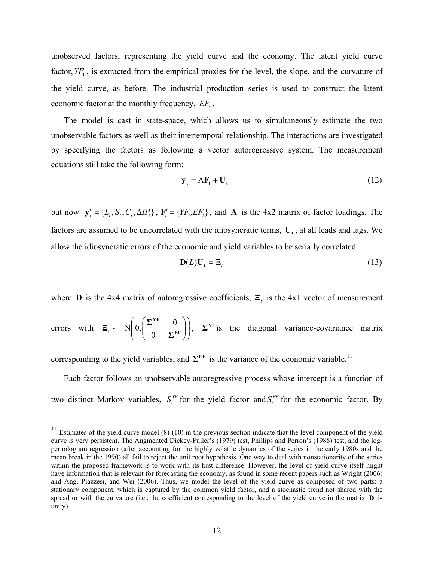unobserved factors, representing the yield curve and the economy. The latent yield curve factor,  $YF_t$ , is extracted from the empirical proxies for the level, the slope, and the curvature of the yield curve, as before. The industrial production series is used to construct the latent economic factor at the monthly frequency,  $EF_t$ .

 The model is cast in state-space, which allows us to simultaneously estimate the two unobservable factors as well as their intertemporal relationship. The interactions are investigated by specifying the factors as following a vector autoregressive system. The measurement equations still take the following form:

$$
\mathbf{y}_{t} = \Lambda \mathbf{F}_{t} + \mathbf{U}_{t} \tag{12}
$$

but now  $\mathbf{y}'_t = \{L_t, S_t, C_t, \Delta IP_t\}$ ,  $\mathbf{F}'_t = \{YF_t, EF_t\}$ , and  $\Lambda$  is the 4x2 matrix of factor loadings. The factors are assumed to be uncorrelated with the idiosyncratic terms,  $U_t$ , at all leads and lags. We allow the idiosyncratic errors of the economic and yield variables to be serially correlated:

$$
\mathbf{D}(L)\mathbf{U}_{t} = \Xi_{t} \tag{13}
$$

where **D** is the 4x4 matrix of autoregressive coefficients,  $\Xi$ <sub>*t*</sub> is the 4x1 vector of measurement

errors with  $\mathbf{E}_{t} \sim \mathbf{N} \begin{bmatrix} 0, & \mathbf{Z} & \mathbf{0} \\ \mathbf{0} & \mathbf{\Sigma}^{\text{EF}} \end{bmatrix}$ ⎠ ⎞  $\overline{ }$  $\mathsf I$ ⎝  $\sqrt{2}$  $\sqrt{2}$ ⎠ ⎞  $\begin{bmatrix} \phantom{-} \end{bmatrix}$ ⎝  $\big($ **EF YF Σ Σ** 0 0  $N\vert 0, \vert^2$   $\int_{\rm{S}}^{\rm{VF}}$   $\vert \vert$ ,  $\Sigma^{\rm{YF}}$  is the diagonal variance-covariance matrix

corresponding to the yield variables, and  $\Sigma^{\text{EF}}$  is the variance of the economic variable.<sup>11</sup>

-

 Each factor follows an unobservable autoregressive process whose intercept is a function of two distinct Markov variables,  $S_t^{YF}$  for the yield factor and  $S_t^{EF}$  for the economic factor. By

<sup>&</sup>lt;sup>11</sup> Estimates of the yield curve model  $(8)-(10)$  in the previous section indicate that the level component of the yield curve is very persistent. The Augmented Dickey-Fuller's (1979) test, Phillips and Perron's (1988) test, and the logperiodogram regression (after accounting for the highly volatile dynamics of the series in the early 1980s and the mean break in the 1990) all fail to reject the unit root hypothesis. One way to deal with nonstationarity of the series within the proposed framework is to work with its first difference. However, the level of yield curve itself might have information that is relevant for forecasting the economy, as found in some recent papers such as Wright (2006) and Ang, Piazzesi, and Wei (2006). Thus, we model the level of the yield curve as composed of two parts: a stationary component, which is captured by the common yield factor, and a stochastic trend not shared with the spread or with the curvature (i.e., the coefficient corresponding to the level of the yield curve in the matrix **D** is unity).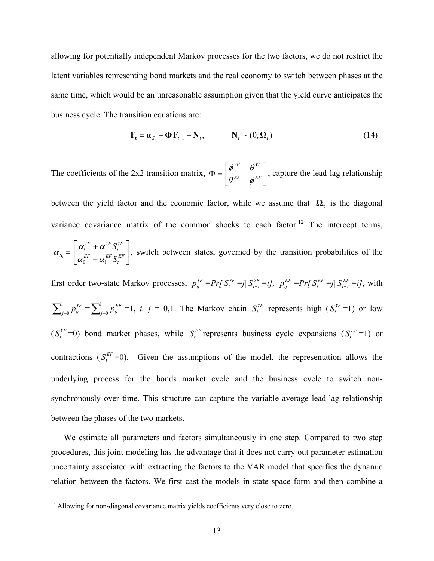allowing for potentially independent Markov processes for the two factors, we do not restrict the latent variables representing bond markets and the real economy to switch between phases at the same time, which would be an unreasonable assumption given that the yield curve anticipates the business cycle. The transition equations are:

$$
\mathbf{F}_{t} = \mathbf{\alpha}_{S_{t}} + \mathbf{\Phi} \mathbf{F}_{t-1} + \mathbf{N}_{t}, \qquad \mathbf{N}_{t} \sim (0, \mathbf{\Omega}_{t})
$$
\n(14)

The coefficients of the 2x2 transition matrix,  $\Phi = \begin{vmatrix} \psi & \psi \\ \psi & \psi \end{vmatrix}$ ⎦  $\overline{\phantom{a}}$  $\mathsf{I}$ ⎣  $\mathsf{L}$  $\Phi = \begin{vmatrix} \psi & \psi \\ \rho E^F & \phi E^F \end{vmatrix}$ *YF*  $\bigcap$  *YF*  $\theta^{\scriptscriptstyle\it LF}$   $\phi$  $\phi^{\mu\nu}$   $\theta^{\nu}$ , capture the lead-lag relationship

between the yield factor and the economic factor, while we assume that  $\Omega_t$  is the diagonal variance covariance matrix of the common shocks to each factor.<sup>12</sup> The intercept terms,

$$
\alpha_{S_t} = \left[ \frac{\alpha_0^{YF} + \alpha_1^{YF} S_t^{YF}}{\alpha_0^{EF} + \alpha_1^{EF} S_t^{EF}} \right],
$$
 switch between states, governed by the transition probabilities of the

first order two-state Markov processes,  $p_{ij}^{YF} = Pr[S_i^{YF} = j | S_{i-1}^{YF} = i], p_{ij}^{EF} = Pr[S_i^{EF} = j | S_{i-1}^{EF} = i],$  with  $\sum_{j=}^1$ *j*=0  $p_{ij}^{\rm YF}=\sum\nolimits_{j=1}^{1}$ *j*=0  $p_{ij}^{EF}$  =1, *i, j* = 0,1. The Markov chain *S<sub>t</sub>*<sup>*YF*</sup> represents high (*S<sub>t</sub><sup>YF</sup>* =1) or low  $(S_t^{FF}=0)$  bond market phases, while  $S_t^{EF}$  represents business cycle expansions  $(S_t^{EF}=1)$  or contractions  $(S_t^{EF}=0)$ . Given the assumptions of the model, the representation allows the underlying process for the bonds market cycle and the business cycle to switch nonsynchronously over time. This structure can capture the variable average lead-lag relationship between the phases of the two markets.

 We estimate all parameters and factors simultaneously in one step. Compared to two step procedures, this joint modeling has the advantage that it does not carry out parameter estimation uncertainty associated with extracting the factors to the VAR model that specifies the dynamic relation between the factors. We first cast the models in state space form and then combine a

 $\overline{a}$ 

<sup>&</sup>lt;sup>12</sup> Allowing for non-diagonal covariance matrix yields coefficients very close to zero.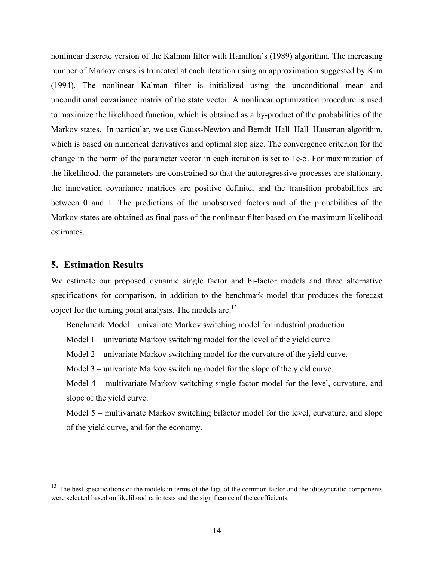nonlinear discrete version of the Kalman filter with Hamilton's (1989) algorithm. The increasing number of Markov cases is truncated at each iteration using an approximation suggested by Kim (1994). The nonlinear Kalman filter is initialized using the unconditional mean and unconditional covariance matrix of the state vector. A nonlinear optimization procedure is used to maximize the likelihood function, which is obtained as a by-product of the probabilities of the Markov states. In particular, we use Gauss-Newton and Berndt–Hall–Hall–Hausman algorithm, which is based on numerical derivatives and optimal step size. The convergence criterion for the change in the norm of the parameter vector in each iteration is set to 1e-5. For maximization of the likelihood, the parameters are constrained so that the autoregressive processes are stationary, the innovation covariance matrices are positive definite, and the transition probabilities are between 0 and 1. The predictions of the unobserved factors and of the probabilities of the Markov states are obtained as final pass of the nonlinear filter based on the maximum likelihood estimates.

### **5. Estimation Results**

 $\overline{a}$ 

We estimate our proposed dynamic single factor and bi-factor models and three alternative specifications for comparison, in addition to the benchmark model that produces the forecast object for the turning point analysis. The models are:<sup>13</sup>

Benchmark Model – univariate Markov switching model for industrial production.

- Model 1 univariate Markov switching model for the level of the yield curve.
- Model 2 univariate Markov switching model for the curvature of the yield curve.
- Model 3 univariate Markov switching model for the slope of the yield curve.

Model 4 – multivariate Markov switching single-factor model for the level, curvature, and slope of the yield curve.

Model 5 – multivariate Markov switching bifactor model for the level, curvature, and slope of the yield curve, and for the economy.

 $13$  The best specifications of the models in terms of the lags of the common factor and the idiosyncratic components were selected based on likelihood ratio tests and the significance of the coefficients.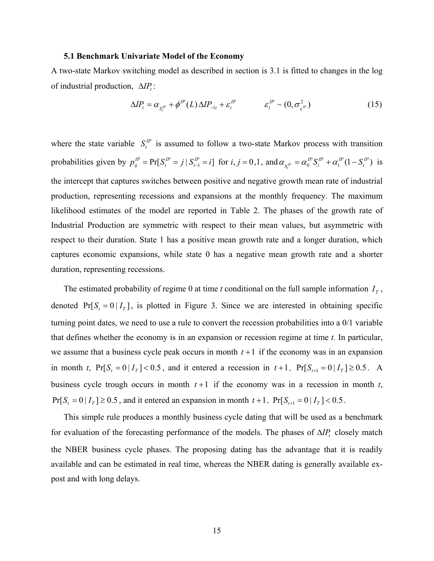#### **5.1 Benchmark Univariate Model of the Economy**

A two-state Markov switching model as described in section is 3.1 is fitted to changes in the log of industrial production, *<sup>t</sup>* Δ*IP* :

$$
\Delta IP_t = \alpha_{S_t^{IP}} + \phi^{IP}(L) \Delta IP_{-1t} + \varepsilon_t^{IP} \qquad \qquad \varepsilon_t^{IP} \sim (0, \sigma_{\varepsilon^{IP}}^2)
$$
 (15)

where the state variable  $S_t^P$  is assumed to follow a two-state Markov process with transition probabilities given by  $p_{ij}^{IP} = Pr[S_i^{IP} = j | S_{i-1}^{IP} = i]$ *t IP t*  $\sum_{i,j}^{IP}$  = Pr[ $S_t^{IP} = j | S_{t-1}^{IP} = i$ ] for  $i, j = 0, 1$ , and  $\alpha_{S_t^{IP}} = \alpha_0^{IP} S_t^{IP} + \alpha_1^{IP} (1 - S_t^{IP})$ *IP t*  $IP \cup \alpha$ <sup>IP</sup> *t IP*  $\alpha_{S_t^{\text{IP}}} = \alpha_0^{\text{IP}} S_t^{\text{IP}} + \alpha_1^{\text{IP}} (1 - S_t^{\text{IP}})$  is the intercept that captures switches between positive and negative growth mean rate of industrial production, representing recessions and expansions at the monthly frequency. The maximum likelihood estimates of the model are reported in Table 2. The phases of the growth rate of Industrial Production are symmetric with respect to their mean values, but asymmetric with respect to their duration. State 1 has a positive mean growth rate and a longer duration, which captures economic expansions, while state 0 has a negative mean growth rate and a shorter duration, representing recessions.

The estimated probability of regime 0 at time *t* conditional on the full sample information  $I<sub>T</sub>$ , denoted  $Pr[S_t = 0 | I_t]$ , is plotted in Figure 3. Since we are interested in obtaining specific turning point dates, we need to use a rule to convert the recession probabilities into a 0/1 variable that defines whether the economy is in an expansion or recession regime at time *t.* In particular, we assume that a business cycle peak occurs in month  $t+1$  if the economy was in an expansion in month *t*,  $Pr[S_t = 0 | I_T] < 0.5$ , and it entered a recession in  $t + 1$ ,  $Pr[S_{t+1} = 0 | I_T] \ge 0.5$ . A business cycle trough occurs in month  $t+1$  if the economy was in a recession in month  $t$ ,  $Pr[S_t = 0 | I_T] \ge 0.5$ , and it entered an expansion in month  $t + 1$ ,  $Pr[S_{t+1} = 0 | I_T] < 0.5$ .

 This simple rule produces a monthly business cycle dating that will be used as a benchmark for evaluation of the forecasting performance of the models. The phases of  $\Delta IP$ , closely match the NBER business cycle phases. The proposing dating has the advantage that it is readily available and can be estimated in real time, whereas the NBER dating is generally available expost and with long delays.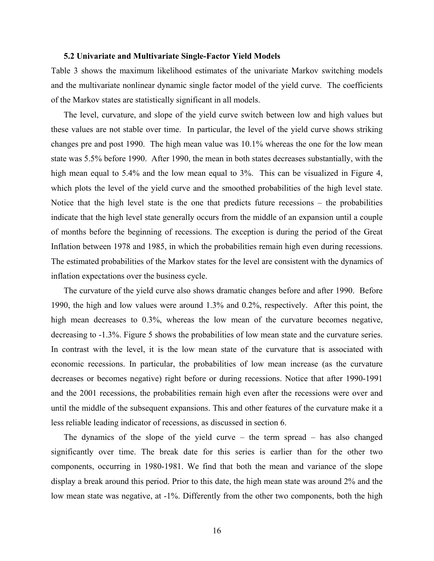#### **5.2 Univariate and Multivariate Single-Factor Yield Models**

Table 3 shows the maximum likelihood estimates of the univariate Markov switching models and the multivariate nonlinear dynamic single factor model of the yield curve. The coefficients of the Markov states are statistically significant in all models.

 The level, curvature, and slope of the yield curve switch between low and high values but these values are not stable over time. In particular, the level of the yield curve shows striking changes pre and post 1990. The high mean value was 10.1% whereas the one for the low mean state was 5.5% before 1990. After 1990, the mean in both states decreases substantially, with the high mean equal to 5.4% and the low mean equal to 3%. This can be visualized in Figure 4, which plots the level of the yield curve and the smoothed probabilities of the high level state. Notice that the high level state is the one that predicts future recessions – the probabilities indicate that the high level state generally occurs from the middle of an expansion until a couple of months before the beginning of recessions. The exception is during the period of the Great Inflation between 1978 and 1985, in which the probabilities remain high even during recessions. The estimated probabilities of the Markov states for the level are consistent with the dynamics of inflation expectations over the business cycle.

 The curvature of the yield curve also shows dramatic changes before and after 1990. Before 1990, the high and low values were around 1.3% and 0.2%, respectively. After this point, the high mean decreases to 0.3%, whereas the low mean of the curvature becomes negative, decreasing to -1.3%. Figure 5 shows the probabilities of low mean state and the curvature series. In contrast with the level, it is the low mean state of the curvature that is associated with economic recessions. In particular, the probabilities of low mean increase (as the curvature decreases or becomes negative) right before or during recessions. Notice that after 1990-1991 and the 2001 recessions, the probabilities remain high even after the recessions were over and until the middle of the subsequent expansions. This and other features of the curvature make it a less reliable leading indicator of recessions, as discussed in section 6.

 The dynamics of the slope of the yield curve – the term spread – has also changed significantly over time. The break date for this series is earlier than for the other two components, occurring in 1980-1981. We find that both the mean and variance of the slope display a break around this period. Prior to this date, the high mean state was around 2% and the low mean state was negative, at -1%. Differently from the other two components, both the high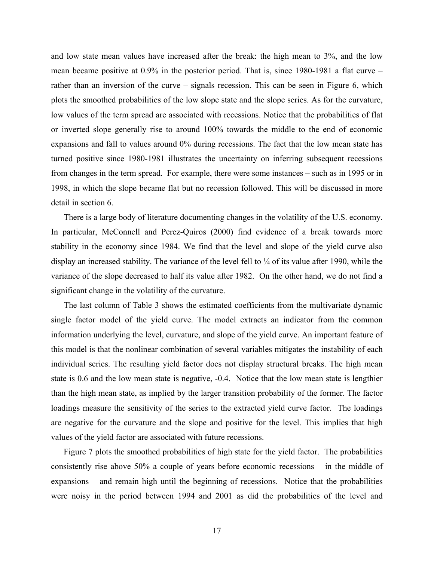and low state mean values have increased after the break: the high mean to 3%, and the low mean became positive at  $0.9\%$  in the posterior period. That is, since 1980-1981 a flat curve – rather than an inversion of the curve – signals recession. This can be seen in Figure 6, which plots the smoothed probabilities of the low slope state and the slope series. As for the curvature, low values of the term spread are associated with recessions. Notice that the probabilities of flat or inverted slope generally rise to around 100% towards the middle to the end of economic expansions and fall to values around 0% during recessions. The fact that the low mean state has turned positive since 1980-1981 illustrates the uncertainty on inferring subsequent recessions from changes in the term spread. For example, there were some instances – such as in 1995 or in 1998, in which the slope became flat but no recession followed. This will be discussed in more detail in section 6.

 There is a large body of literature documenting changes in the volatility of the U.S. economy. In particular, McConnell and Perez-Quiros (2000) find evidence of a break towards more stability in the economy since 1984. We find that the level and slope of the yield curve also display an increased stability. The variance of the level fell to  $\frac{1}{4}$  of its value after 1990, while the variance of the slope decreased to half its value after 1982. On the other hand, we do not find a significant change in the volatility of the curvature.

 The last column of Table 3 shows the estimated coefficients from the multivariate dynamic single factor model of the yield curve. The model extracts an indicator from the common information underlying the level, curvature, and slope of the yield curve. An important feature of this model is that the nonlinear combination of several variables mitigates the instability of each individual series. The resulting yield factor does not display structural breaks. The high mean state is 0.6 and the low mean state is negative, -0.4. Notice that the low mean state is lengthier than the high mean state, as implied by the larger transition probability of the former. The factor loadings measure the sensitivity of the series to the extracted yield curve factor. The loadings are negative for the curvature and the slope and positive for the level. This implies that high values of the yield factor are associated with future recessions.

 Figure 7 plots the smoothed probabilities of high state for the yield factor. The probabilities consistently rise above 50% a couple of years before economic recessions – in the middle of expansions – and remain high until the beginning of recessions. Notice that the probabilities were noisy in the period between 1994 and 2001 as did the probabilities of the level and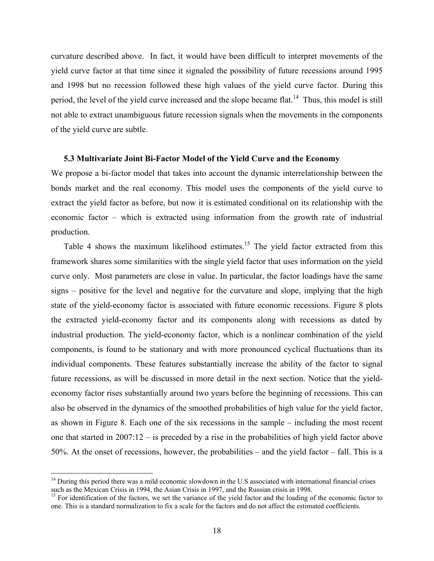curvature described above. In fact, it would have been difficult to interpret movements of the yield curve factor at that time since it signaled the possibility of future recessions around 1995 and 1998 but no recession followed these high values of the yield curve factor. During this period, the level of the yield curve increased and the slope became flat.<sup>14</sup> Thus, this model is still not able to extract unambiguous future recession signals when the movements in the components of the yield curve are subtle.

#### **5.3 Multivariate Joint Bi-Factor Model of the Yield Curve and the Economy**

We propose a bi-factor model that takes into account the dynamic interrelationship between the bonds market and the real economy. This model uses the components of the yield curve to extract the yield factor as before, but now it is estimated conditional on its relationship with the economic factor – which is extracted using information from the growth rate of industrial production.

Table 4 shows the maximum likelihood estimates.<sup>15</sup> The yield factor extracted from this framework shares some similarities with the single yield factor that uses information on the yield curve only. Most parameters are close in value. In particular, the factor loadings have the same signs – positive for the level and negative for the curvature and slope, implying that the high state of the yield-economy factor is associated with future economic recessions. Figure 8 plots the extracted yield-economy factor and its components along with recessions as dated by industrial production. The yield-economy factor, which is a nonlinear combination of the yield components, is found to be stationary and with more pronounced cyclical fluctuations than its individual components. These features substantially increase the ability of the factor to signal future recessions, as will be discussed in more detail in the next section. Notice that the yieldeconomy factor rises substantially around two years before the beginning of recessions. This can also be observed in the dynamics of the smoothed probabilities of high value for the yield factor, as shown in Figure 8. Each one of the six recessions in the sample – including the most recent one that started in 2007:12 – is preceded by a rise in the probabilities of high yield factor above 50%. At the onset of recessions, however, the probabilities – and the yield factor – fall. This is a

 $\overline{a}$ 

<sup>&</sup>lt;sup>14</sup> During this period there was a mild economic slowdown in the U.S associated with international financial crises such as the Mexican Crisis in 1994, the Asian Crisis in 1997, and the Russian crisis in 1998.

<sup>&</sup>lt;sup>15</sup> For identification of the factors, we set the variance of the yield factor and the loading of the economic factor to one. This is a standard normalization to fix a scale for the factors and do not affect the estimated coefficients.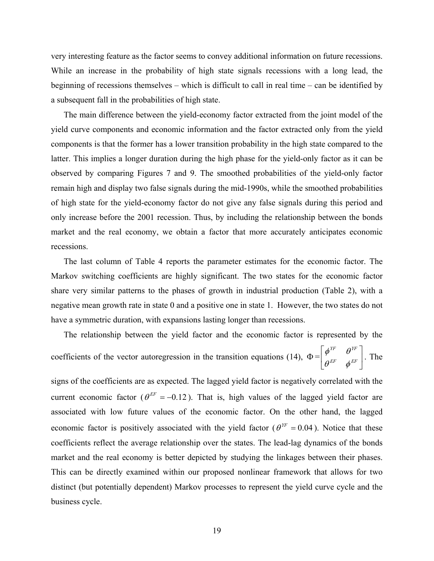very interesting feature as the factor seems to convey additional information on future recessions. While an increase in the probability of high state signals recessions with a long lead, the beginning of recessions themselves – which is difficult to call in real time – can be identified by a subsequent fall in the probabilities of high state.

 The main difference between the yield-economy factor extracted from the joint model of the yield curve components and economic information and the factor extracted only from the yield components is that the former has a lower transition probability in the high state compared to the latter. This implies a longer duration during the high phase for the yield-only factor as it can be observed by comparing Figures 7 and 9. The smoothed probabilities of the yield-only factor remain high and display two false signals during the mid-1990s, while the smoothed probabilities of high state for the yield-economy factor do not give any false signals during this period and only increase before the 2001 recession. Thus, by including the relationship between the bonds market and the real economy, we obtain a factor that more accurately anticipates economic recessions.

 The last column of Table 4 reports the parameter estimates for the economic factor. The Markov switching coefficients are highly significant. The two states for the economic factor share very similar patterns to the phases of growth in industrial production (Table 2), with a negative mean growth rate in state 0 and a positive one in state 1. However, the two states do not have a symmetric duration, with expansions lasting longer than recessions.

 The relationship between the yield factor and the economic factor is represented by the coefficients of the vector autoregression in the transition equations (14),  $\Phi = \begin{vmatrix} \phi & \phi \\ \phi & \phi \end{vmatrix}$ ⎦  $\overline{\phantom{a}}$  $\mathsf I$ ⎣  $\mathsf{L}$ *EF EF YF*  $\theta$ <sup>*YF*</sup>  $\theta^{\tiny \it EF}$   $\phi$  $\phi^{YF}$   $\theta^{YF}$ , The

signs of the coefficients are as expected. The lagged yield factor is negatively correlated with the current economic factor ( $\theta^{EF} = -0.12$ ). That is, high values of the lagged yield factor are associated with low future values of the economic factor. On the other hand, the lagged economic factor is positively associated with the yield factor ( $\theta^{YF} = 0.04$ ). Notice that these coefficients reflect the average relationship over the states. The lead-lag dynamics of the bonds market and the real economy is better depicted by studying the linkages between their phases. This can be directly examined within our proposed nonlinear framework that allows for two distinct (but potentially dependent) Markov processes to represent the yield curve cycle and the business cycle.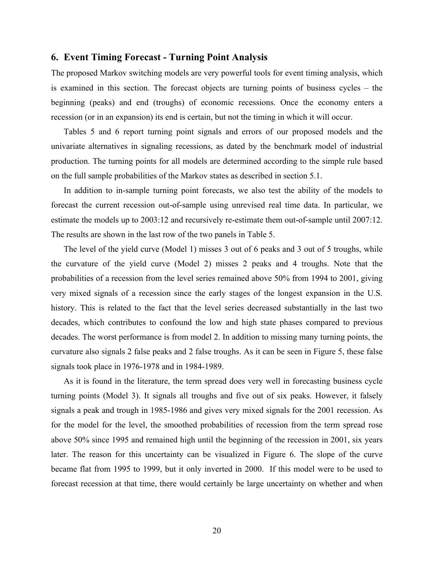### **6. Event Timing Forecast - Turning Point Analysis**

The proposed Markov switching models are very powerful tools for event timing analysis, which is examined in this section. The forecast objects are turning points of business cycles – the beginning (peaks) and end (troughs) of economic recessions. Once the economy enters a recession (or in an expansion) its end is certain, but not the timing in which it will occur.

 Tables 5 and 6 report turning point signals and errors of our proposed models and the univariate alternatives in signaling recessions, as dated by the benchmark model of industrial production. The turning points for all models are determined according to the simple rule based on the full sample probabilities of the Markov states as described in section 5.1.

 In addition to in-sample turning point forecasts, we also test the ability of the models to forecast the current recession out-of-sample using unrevised real time data. In particular, we estimate the models up to 2003:12 and recursively re-estimate them out-of-sample until 2007:12. The results are shown in the last row of the two panels in Table 5.

 The level of the yield curve (Model 1) misses 3 out of 6 peaks and 3 out of 5 troughs, while the curvature of the yield curve (Model 2) misses 2 peaks and 4 troughs. Note that the probabilities of a recession from the level series remained above 50% from 1994 to 2001, giving very mixed signals of a recession since the early stages of the longest expansion in the U.S. history. This is related to the fact that the level series decreased substantially in the last two decades, which contributes to confound the low and high state phases compared to previous decades. The worst performance is from model 2. In addition to missing many turning points, the curvature also signals 2 false peaks and 2 false troughs. As it can be seen in Figure 5, these false signals took place in 1976-1978 and in 1984-1989.

 As it is found in the literature, the term spread does very well in forecasting business cycle turning points (Model 3). It signals all troughs and five out of six peaks. However, it falsely signals a peak and trough in 1985-1986 and gives very mixed signals for the 2001 recession. As for the model for the level, the smoothed probabilities of recession from the term spread rose above 50% since 1995 and remained high until the beginning of the recession in 2001, six years later. The reason for this uncertainty can be visualized in Figure 6. The slope of the curve became flat from 1995 to 1999, but it only inverted in 2000. If this model were to be used to forecast recession at that time, there would certainly be large uncertainty on whether and when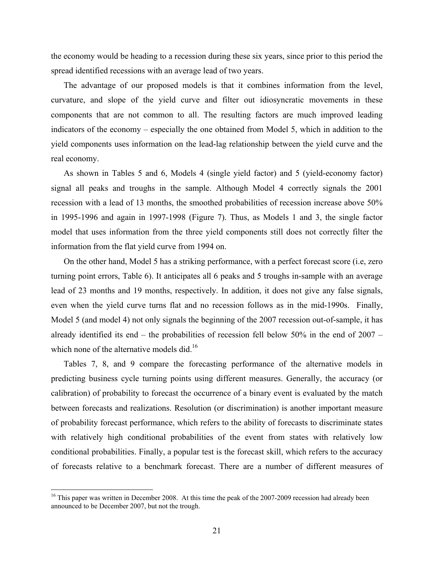the economy would be heading to a recession during these six years, since prior to this period the spread identified recessions with an average lead of two years.

 The advantage of our proposed models is that it combines information from the level, curvature, and slope of the yield curve and filter out idiosyncratic movements in these components that are not common to all. The resulting factors are much improved leading indicators of the economy – especially the one obtained from Model 5, which in addition to the yield components uses information on the lead-lag relationship between the yield curve and the real economy.

 As shown in Tables 5 and 6, Models 4 (single yield factor) and 5 (yield-economy factor) signal all peaks and troughs in the sample. Although Model 4 correctly signals the 2001 recession with a lead of 13 months, the smoothed probabilities of recession increase above 50% in 1995-1996 and again in 1997-1998 (Figure 7). Thus, as Models 1 and 3, the single factor model that uses information from the three yield components still does not correctly filter the information from the flat yield curve from 1994 on.

 On the other hand, Model 5 has a striking performance, with a perfect forecast score (i.e, zero turning point errors, Table 6). It anticipates all 6 peaks and 5 troughs in-sample with an average lead of 23 months and 19 months, respectively. In addition, it does not give any false signals, even when the yield curve turns flat and no recession follows as in the mid-1990s. Finally, Model 5 (and model 4) not only signals the beginning of the 2007 recession out-of-sample, it has already identified its end – the probabilities of recession fell below 50% in the end of 2007 – which none of the alternative models did.<sup>16</sup>

 Tables 7, 8, and 9 compare the forecasting performance of the alternative models in predicting business cycle turning points using different measures. Generally, the accuracy (or calibration) of probability to forecast the occurrence of a binary event is evaluated by the match between forecasts and realizations. Resolution (or discrimination) is another important measure of probability forecast performance, which refers to the ability of forecasts to discriminate states with relatively high conditional probabilities of the event from states with relatively low conditional probabilities. Finally, a popular test is the forecast skill, which refers to the accuracy of forecasts relative to a benchmark forecast. There are a number of different measures of

<u>.</u>

<sup>&</sup>lt;sup>16</sup> This paper was written in December 2008. At this time the peak of the 2007-2009 recession had already been announced to be December 2007, but not the trough.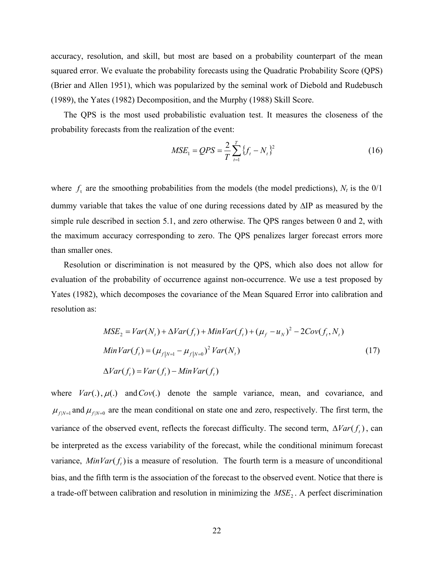accuracy, resolution, and skill, but most are based on a probability counterpart of the mean squared error. We evaluate the probability forecasts using the Quadratic Probability Score (QPS) (Brier and Allen 1951), which was popularized by the seminal work of Diebold and Rudebusch (1989), the Yates (1982) Decomposition, and the Murphy (1988) Skill Score.

 The QPS is the most used probabilistic evaluation test. It measures the closeness of the probability forecasts from the realization of the event:

$$
MSE_1 = QPS = \frac{2}{T} \sum_{t=1}^{T} \{f_t - N_t\}^2
$$
 (16)

where  $f_t$  are the smoothing probabilities from the models (the model predictions),  $N_t$  is the 0/1 dummy variable that takes the value of one during recessions dated by ΔIP as measured by the simple rule described in section 5.1, and zero otherwise. The QPS ranges between 0 and 2, with the maximum accuracy corresponding to zero. The QPS penalizes larger forecast errors more than smaller ones.

 Resolution or discrimination is not measured by the QPS, which also does not allow for evaluation of the probability of occurrence against non-occurrence. We use a test proposed by Yates (1982), which decomposes the covariance of the Mean Squared Error into calibration and resolution as:

$$
MSE_2 = Var(N_t) + \Delta Var(f_t) + MinVar(f_t) + (\mu_f - u_N)^2 - 2Cov(f_t, N_t)
$$
  
\n
$$
MinVar(f_t) = (\mu_{f|N=1} - \mu_{f|N=0})^2 Var(N_t)
$$
  
\n
$$
\Delta Var(f_t) = Var(f_t) - MinVar(f_t)
$$
\n(17)

where *Var*(.), <sup>μ</sup>(.) and*Cov*(.) denote the sample variance, mean, and covariance, and  $\mu_{f|N=1}$  and  $\mu_{f|N=0}$  are the mean conditional on state one and zero, respectively. The first term, the variance of the observed event, reflects the forecast difficulty. The second term,  $\Delta Var(f_t)$ , can be interpreted as the excess variability of the forecast, while the conditional minimum forecast variance,  $MinVar(f<sub>t</sub>)$  is a measure of resolution. The fourth term is a measure of unconditional bias, and the fifth term is the association of the forecast to the observed event. Notice that there is a trade-off between calibration and resolution in minimizing the  $MSE<sub>2</sub>$ . A perfect discrimination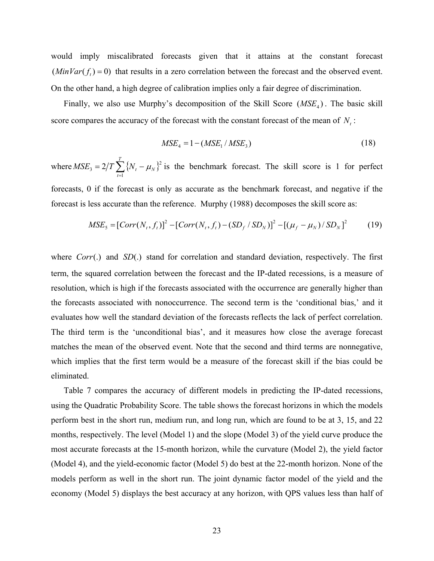would imply miscalibrated forecasts given that it attains at the constant forecast  $(MinVar(f_t) = 0)$  that results in a zero correlation between the forecast and the observed event. On the other hand, a high degree of calibration implies only a fair degree of discrimination.

Finally, we also use Murphy's decomposition of the Skill Score  $(MSE<sub>4</sub>)$ . The basic skill score compares the accuracy of the forecast with the constant forecast of the mean of  $N<sub>t</sub>$ :

$$
MSE_4 = 1 - (MSE_1 / MSE_3)
$$
\n<sup>(18)</sup>

where  $MSE_3 = 2/T \sum_{t=1}^{1} \{ N_t - \mu_N \}^2$  $= 2/T \sum_{i=1}^{T} \{N_i$ *t*  $MSE$ <sub>3</sub> = 2/T  $\sum$  { $N_t$  –  $\mu_N$ 1  $\mathcal{L}_3 = 2/T \sum {\{N_t - \mu_N\}}^2$  is the benchmark forecast. The skill score is 1 for perfect forecasts, 0 if the forecast is only as accurate as the benchmark forecast, and negative if the forecast is less accurate than the reference. Murphy (1988) decomposes the skill score as:

$$
MSE5 = [Corr(Nt, ft)]2 - [Corr(Nt, ft) - (SDf / SDN)]2 - [(\muf - \muN) / SDN]2
$$
 (19)

where *Corr*(.) and *SD*(.) stand for correlation and standard deviation, respectively. The first term, the squared correlation between the forecast and the IP-dated recessions, is a measure of resolution, which is high if the forecasts associated with the occurrence are generally higher than the forecasts associated with nonoccurrence. The second term is the 'conditional bias,' and it evaluates how well the standard deviation of the forecasts reflects the lack of perfect correlation. The third term is the 'unconditional bias', and it measures how close the average forecast matches the mean of the observed event. Note that the second and third terms are nonnegative, which implies that the first term would be a measure of the forecast skill if the bias could be eliminated.

 Table 7 compares the accuracy of different models in predicting the IP-dated recessions, using the Quadratic Probability Score. The table shows the forecast horizons in which the models perform best in the short run, medium run, and long run, which are found to be at 3, 15, and 22 months, respectively. The level (Model 1) and the slope (Model 3) of the yield curve produce the most accurate forecasts at the 15-month horizon, while the curvature (Model 2), the yield factor (Model 4), and the yield-economic factor (Model 5) do best at the 22-month horizon. None of the models perform as well in the short run. The joint dynamic factor model of the yield and the economy (Model 5) displays the best accuracy at any horizon, with QPS values less than half of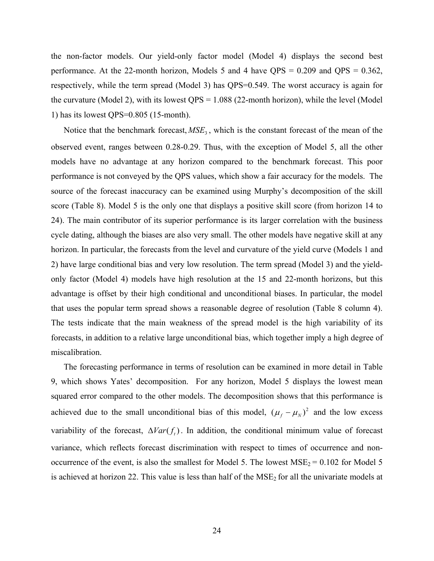the non-factor models. Our yield-only factor model (Model 4) displays the second best performance. At the 22-month horizon, Models 5 and 4 have  $OPS = 0.209$  and  $OPS = 0.362$ , respectively, while the term spread (Model 3) has QPS=0.549. The worst accuracy is again for the curvature (Model 2), with its lowest QPS = 1.088 (22-month horizon), while the level (Model 1) has its lowest QPS=0.805 (15-month).

Notice that the benchmark forecast,  $MSE_3$ , which is the constant forecast of the mean of the observed event, ranges between 0.28-0.29. Thus, with the exception of Model 5, all the other models have no advantage at any horizon compared to the benchmark forecast. This poor performance is not conveyed by the QPS values, which show a fair accuracy for the models. The source of the forecast inaccuracy can be examined using Murphy's decomposition of the skill score (Table 8). Model 5 is the only one that displays a positive skill score (from horizon 14 to 24). The main contributor of its superior performance is its larger correlation with the business cycle dating, although the biases are also very small. The other models have negative skill at any horizon. In particular, the forecasts from the level and curvature of the yield curve (Models 1 and 2) have large conditional bias and very low resolution. The term spread (Model 3) and the yieldonly factor (Model 4) models have high resolution at the 15 and 22-month horizons, but this advantage is offset by their high conditional and unconditional biases. In particular, the model that uses the popular term spread shows a reasonable degree of resolution (Table 8 column 4). The tests indicate that the main weakness of the spread model is the high variability of its forecasts, in addition to a relative large unconditional bias, which together imply a high degree of miscalibration.

 The forecasting performance in terms of resolution can be examined in more detail in Table 9, which shows Yates' decomposition. For any horizon, Model 5 displays the lowest mean squared error compared to the other models. The decomposition shows that this performance is achieved due to the small unconditional bias of this model,  $(\mu_f - \mu_N)^2$  and the low excess variability of the forecast,  $\Delta Var(f_t)$ . In addition, the conditional minimum value of forecast variance, which reflects forecast discrimination with respect to times of occurrence and nonoccurrence of the event, is also the smallest for Model 5. The lowest  $MSE_2 = 0.102$  for Model 5 is achieved at horizon 22. This value is less than half of the  $MSE<sub>2</sub>$  for all the univariate models at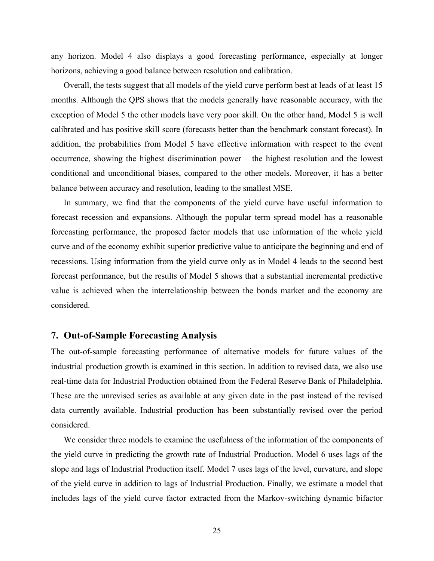any horizon. Model 4 also displays a good forecasting performance, especially at longer horizons, achieving a good balance between resolution and calibration.

 Overall, the tests suggest that all models of the yield curve perform best at leads of at least 15 months. Although the QPS shows that the models generally have reasonable accuracy, with the exception of Model 5 the other models have very poor skill. On the other hand, Model 5 is well calibrated and has positive skill score (forecasts better than the benchmark constant forecast). In addition, the probabilities from Model 5 have effective information with respect to the event occurrence, showing the highest discrimination power – the highest resolution and the lowest conditional and unconditional biases, compared to the other models. Moreover, it has a better balance between accuracy and resolution, leading to the smallest MSE.

 In summary, we find that the components of the yield curve have useful information to forecast recession and expansions. Although the popular term spread model has a reasonable forecasting performance, the proposed factor models that use information of the whole yield curve and of the economy exhibit superior predictive value to anticipate the beginning and end of recessions. Using information from the yield curve only as in Model 4 leads to the second best forecast performance, but the results of Model 5 shows that a substantial incremental predictive value is achieved when the interrelationship between the bonds market and the economy are considered.

## **7. Out-of-Sample Forecasting Analysis**

The out-of-sample forecasting performance of alternative models for future values of the industrial production growth is examined in this section. In addition to revised data, we also use real-time data for Industrial Production obtained from the Federal Reserve Bank of Philadelphia. These are the unrevised series as available at any given date in the past instead of the revised data currently available. Industrial production has been substantially revised over the period considered.

 We consider three models to examine the usefulness of the information of the components of the yield curve in predicting the growth rate of Industrial Production. Model 6 uses lags of the slope and lags of Industrial Production itself. Model 7 uses lags of the level, curvature, and slope of the yield curve in addition to lags of Industrial Production. Finally, we estimate a model that includes lags of the yield curve factor extracted from the Markov-switching dynamic bifactor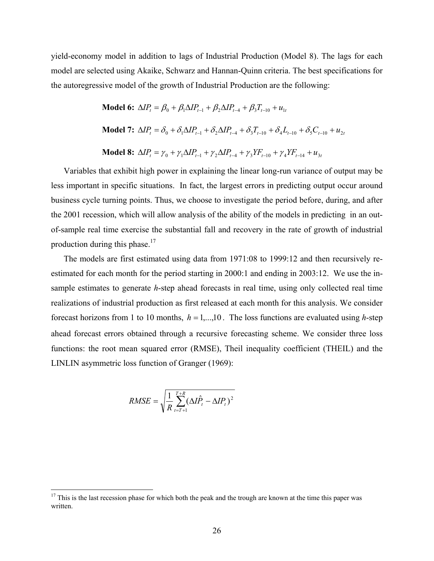yield-economy model in addition to lags of Industrial Production (Model 8). The lags for each model are selected using Akaike, Schwarz and Hannan-Quinn criteria. The best specifications for the autoregressive model of the growth of Industrial Production are the following:

**Model 6:** 
$$
\Delta IP_t = \beta_0 + \beta_1 \Delta IP_{t-1} + \beta_2 \Delta IP_{t-4} + \beta_3 T_{t-10} + u_{1t}
$$
  
\n**Model 7:**  $\Delta IP_t = \delta_0 + \delta_1 \Delta IP_{t-1} + \delta_2 \Delta IP_{t-4} + \delta_3 T_{t-10} + \delta_4 L_{t-10} + \delta_5 C_{t-10} + u_{2t}$   
\n**Model 8:**  $\Delta IP_t = \gamma_0 + \gamma_1 \Delta IP_{t-1} + \gamma_2 \Delta IP_{t-4} + \gamma_3 Y F_{t-10} + \gamma_4 Y F_{t-14} + u_{3t}$ 

 Variables that exhibit high power in explaining the linear long-run variance of output may be less important in specific situations. In fact, the largest errors in predicting output occur around business cycle turning points. Thus, we choose to investigate the period before, during, and after the 2001 recession, which will allow analysis of the ability of the models in predicting in an outof-sample real time exercise the substantial fall and recovery in the rate of growth of industrial production during this phase. $17$ 

 The models are first estimated using data from 1971:08 to 1999:12 and then recursively reestimated for each month for the period starting in 2000:1 and ending in 2003:12. We use the insample estimates to generate *h*-step ahead forecasts in real time, using only collected real time realizations of industrial production as first released at each month for this analysis. We consider forecast horizons from 1 to 10 months,  $h = 1, \ldots, 10$ . The loss functions are evaluated using h-step ahead forecast errors obtained through a recursive forecasting scheme. We consider three loss functions: the root mean squared error (RMSE), Theil inequality coefficient (THEIL) and the LINLIN asymmetric loss function of Granger (1969):

$$
RMSE = \sqrt{\frac{1}{R} \sum_{t=T+1}^{T+R} (\Delta I \hat{P}_t - \Delta I P_t)^2}
$$

 $\overline{a}$ 

 $17$  This is the last recession phase for which both the peak and the trough are known at the time this paper was written.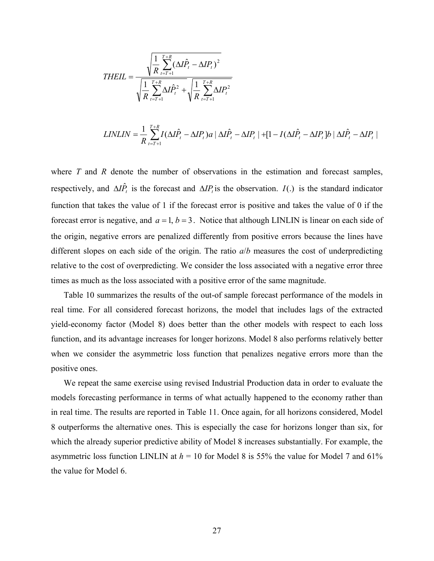$$
THEL = \frac{\sqrt{\frac{1}{R} \sum_{t=T+1}^{T+R} (\Delta I \hat{P}_t - \Delta I P_t)^2}}{\sqrt{\frac{1}{R} \sum_{t=T+1}^{T+R} \Delta I \hat{P}_t^2} + \sqrt{\frac{1}{R} \sum_{t=T+1}^{T+R} \Delta I P_t^2}}
$$

$$
LINLIN = \frac{1}{R} \sum_{t=T+1}^{T+R} I(\Delta I \hat{P}_t - \Delta I P_t) a \mid \Delta I \hat{P}_t - \Delta I P_t \mid + [1 - I(\Delta I \hat{P}_t - \Delta I P_t] b \mid \Delta I \hat{P}_t - \Delta I P_t \mid
$$

where *T* and *R* denote the number of observations in the estimation and forecast samples, respectively, and  $\Delta I \hat{P}_t$  is the forecast and  $\Delta I P_t$  is the observation.  $I(.)$  is the standard indicator function that takes the value of 1 if the forecast error is positive and takes the value of 0 if the forecast error is negative, and  $a = 1$ ,  $b = 3$ . Notice that although LINLIN is linear on each side of the origin, negative errors are penalized differently from positive errors because the lines have different slopes on each side of the origin. The ratio *a*/*b* measures the cost of underpredicting relative to the cost of overpredicting. We consider the loss associated with a negative error three times as much as the loss associated with a positive error of the same magnitude.

 Table 10 summarizes the results of the out-of sample forecast performance of the models in real time. For all considered forecast horizons, the model that includes lags of the extracted yield-economy factor (Model 8) does better than the other models with respect to each loss function, and its advantage increases for longer horizons. Model 8 also performs relatively better when we consider the asymmetric loss function that penalizes negative errors more than the positive ones.

 We repeat the same exercise using revised Industrial Production data in order to evaluate the models forecasting performance in terms of what actually happened to the economy rather than in real time. The results are reported in Table 11. Once again, for all horizons considered, Model 8 outperforms the alternative ones. This is especially the case for horizons longer than six, for which the already superior predictive ability of Model 8 increases substantially. For example, the asymmetric loss function LINLIN at  $h = 10$  for Model 8 is 55% the value for Model 7 and 61% the value for Model 6.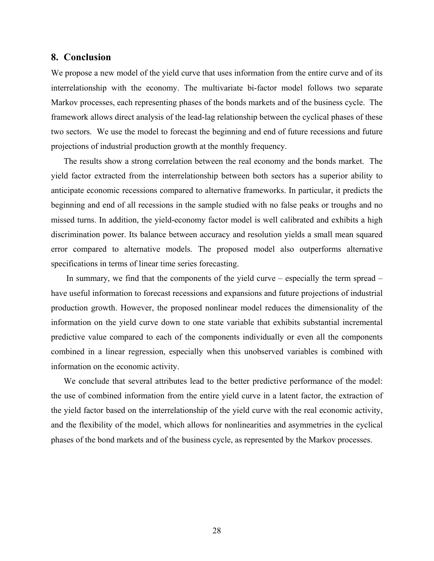### **8. Conclusion**

We propose a new model of the yield curve that uses information from the entire curve and of its interrelationship with the economy. The multivariate bi-factor model follows two separate Markov processes, each representing phases of the bonds markets and of the business cycle. The framework allows direct analysis of the lead-lag relationship between the cyclical phases of these two sectors. We use the model to forecast the beginning and end of future recessions and future projections of industrial production growth at the monthly frequency.

 The results show a strong correlation between the real economy and the bonds market. The yield factor extracted from the interrelationship between both sectors has a superior ability to anticipate economic recessions compared to alternative frameworks. In particular, it predicts the beginning and end of all recessions in the sample studied with no false peaks or troughs and no missed turns. In addition, the yield-economy factor model is well calibrated and exhibits a high discrimination power. Its balance between accuracy and resolution yields a small mean squared error compared to alternative models. The proposed model also outperforms alternative specifications in terms of linear time series forecasting.

 In summary, we find that the components of the yield curve – especially the term spread – have useful information to forecast recessions and expansions and future projections of industrial production growth. However, the proposed nonlinear model reduces the dimensionality of the information on the yield curve down to one state variable that exhibits substantial incremental predictive value compared to each of the components individually or even all the components combined in a linear regression, especially when this unobserved variables is combined with information on the economic activity.

 We conclude that several attributes lead to the better predictive performance of the model: the use of combined information from the entire yield curve in a latent factor, the extraction of the yield factor based on the interrelationship of the yield curve with the real economic activity, and the flexibility of the model, which allows for nonlinearities and asymmetries in the cyclical phases of the bond markets and of the business cycle, as represented by the Markov processes.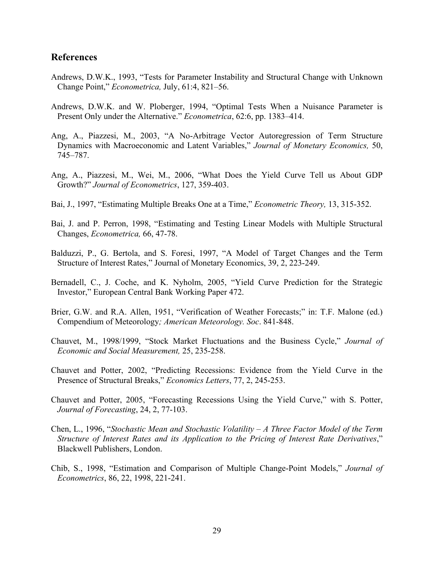## **References**

- Andrews, D.W.K., 1993, "Tests for Parameter Instability and Structural Change with Unknown Change Point," *Econometrica,* July, 61:4, 821–56.
- Andrews, D.W.K. and W. Ploberger, 1994, "Optimal Tests When a Nuisance Parameter is Present Only under the Alternative." *Econometrica*, 62:6, pp. 1383–414.
- Ang, A., Piazzesi, M., 2003, "A No-Arbitrage Vector Autoregression of Term Structure Dynamics with Macroeconomic and Latent Variables," *Journal of Monetary Economics,* 50, 745–787.
- Ang, A., Piazzesi, M., Wei, M., 2006, "What Does the Yield Curve Tell us About GDP Growth?" *Journal of Econometrics*, 127, 359-403.
- Bai, J., 1997, "Estimating Multiple Breaks One at a Time," *Econometric Theory,* 13, 315-352.
- Bai, J. and P. Perron, 1998, "Estimating and Testing Linear Models with Multiple Structural Changes, *Econometrica,* 66, 47-78.
- Balduzzi, P., G. Bertola, and S. Foresi, 1997, "A Model of Target Changes and the Term Structure of Interest Rates," Journal of Monetary Economics, 39, 2, 223-249.
- Bernadell, C., J. Coche, and K. Nyholm, 2005, "Yield Curve Prediction for the Strategic Investor," European Central Bank Working Paper 472.
- Brier, G.W. and R.A. Allen, 1951, "Verification of Weather Forecasts;" in: T.F. Malone (ed.) Compendium of Meteorology*; American Meteorology. Soc*. 841-848.
- Chauvet, M., 1998/1999, "Stock Market Fluctuations and the Business Cycle," *Journal of Economic and Social Measurement,* 25, 235-258.
- Chauvet and Potter, 2002, "Predicting Recessions: Evidence from the Yield Curve in the Presence of Structural Breaks," *Economics Letters*, 77, 2, 245-253.
- Chauvet and Potter, 2005, "Forecasting Recessions Using the Yield Curve," with S. Potter, *Journal of Forecasting*, 24, 2, 77-103.
- Chen, L., 1996, "*Stochastic Mean and Stochastic Volatility A Three Factor Model of the Term Structure of Interest Rates and its Application to the Pricing of Interest Rate Derivatives*," Blackwell Publishers, London.
- Chib, S., 1998, "Estimation and Comparison of Multiple Change-Point Models," *Journal of Econometrics*, 86, 22, 1998, 221-241.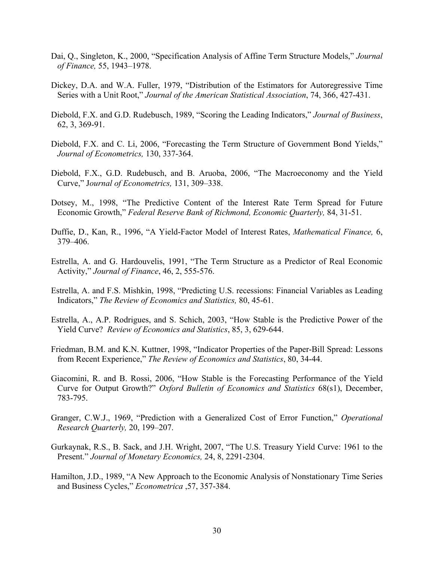- Dai, Q., Singleton, K., 2000, "Specification Analysis of Affine Term Structure Models," *Journal of Finance,* 55, 1943–1978.
- Dickey, D.A. and W.A. Fuller, 1979, "Distribution of the Estimators for Autoregressive Time Series with a Unit Root," *Journal of the American Statistical Association*, 74, 366, 427-431.
- Diebold, F.X. and G.D. Rudebusch, 1989, "Scoring the Leading Indicators," *Journal of Business*, 62, 3, 369-91.
- Diebold, F.X. and C. Li, 2006, "Forecasting the Term Structure of Government Bond Yields," *Journal of Econometrics,* 130, 337-364.
- Diebold, F.X., G.D. Rudebusch, and B. Aruoba, 2006, "The Macroeconomy and the Yield Curve," J*ournal of Econometrics,* 131, 309–338.
- Dotsey, M., 1998, "The Predictive Content of the Interest Rate Term Spread for Future Economic Growth," *Federal Reserve Bank of Richmond, Economic Quarterly,* 84, 31-51.
- Duffie, D., Kan, R., 1996, "A Yield-Factor Model of Interest Rates, *Mathematical Finance,* 6, 379–406.
- Estrella, A. and G. Hardouvelis, 1991, "The Term Structure as a Predictor of Real Economic Activity," *Journal of Finance*, 46, 2, 555-576.
- Estrella, A. and F.S. Mishkin, 1998, "Predicting U.S. recessions: Financial Variables as Leading Indicators," *The Review of Economics and Statistics,* 80, 45-61.
- Estrella, A., A.P. Rodrigues, and S. Schich, 2003, "How Stable is the Predictive Power of the Yield Curve? *Review of Economics and Statistics*, 85, 3, 629-644.
- Friedman, B.M. and K.N. Kuttner, 1998, "Indicator Properties of the Paper-Bill Spread: Lessons from Recent Experience," *The Review of Economics and Statistics*, 80, 34-44.
- Giacomini, R. and B. Rossi, 2006, "How Stable is the Forecasting Performance of the Yield Curve for Output Growth?" *Oxford Bulletin of Economics and Statistics* 68(s1), December, 783-795.
- Granger, C.W.J., 1969, "Prediction with a Generalized Cost of Error Function," *Operational Research Quarterly,* 20, 199–207.
- Gurkaynak, R.S., B. Sack, and J.H. Wright, 2007, "The U.S. Treasury Yield Curve: 1961 to the Present." *Journal of Monetary Economics,* 24, 8, 2291-2304.
- Hamilton, J.D., 1989, "A New Approach to the Economic Analysis of Nonstationary Time Series and Business Cycles," *Econometrica* ,57, 357-384.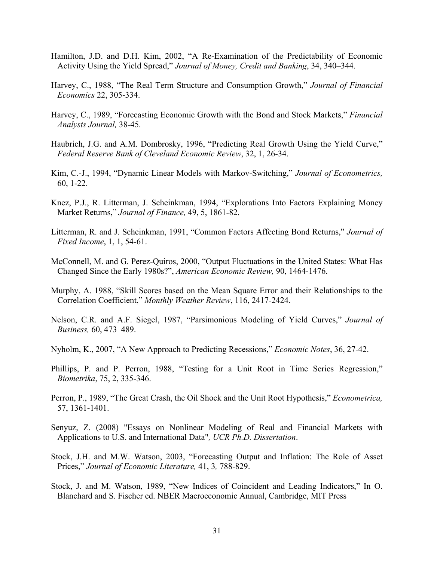- Hamilton, J.D. and D.H. Kim, 2002, "A Re-Examination of the Predictability of Economic Activity Using the Yield Spread," *Journal of Money, Credit and Banking*, 34, 340–344.
- Harvey, C., 1988, "The Real Term Structure and Consumption Growth," *Journal of Financial Economics* 22, 305-334.
- Harvey, C., 1989, "Forecasting Economic Growth with the Bond and Stock Markets," *Financial Analysts Journal,* 38-45.
- Haubrich, J.G. and A.M. Dombrosky, 1996, "Predicting Real Growth Using the Yield Curve," *Federal Reserve Bank of Cleveland Economic Review*, 32, 1, 26-34.
- Kim, C.-J., 1994, "Dynamic Linear Models with Markov-Switching," *Journal of Econometrics,* 60, 1-22.
- Knez, P.J., R. Litterman, J. Scheinkman, 1994, "Explorations Into Factors Explaining Money Market Returns," *Journal of Finance,* 49, 5, 1861-82.
- Litterman, R. and J. Scheinkman, 1991, "Common Factors Affecting Bond Returns," *Journal of Fixed Income*, 1, 1, 54-61.
- McConnell, M. and G. Perez-Quiros, 2000, "Output Fluctuations in the United States: What Has Changed Since the Early 1980s?", *American Economic Review,* 90, 1464-1476.
- Murphy, A. 1988, "Skill Scores based on the Mean Square Error and their Relationships to the Correlation Coefficient," *Monthly Weather Review*, 116, 2417-2424.
- Nelson, C.R. and A.F. Siegel, 1987, "Parsimonious Modeling of Yield Curves," *Journal of Business,* 60, 473–489.
- Nyholm, K., 2007, "A New Approach to Predicting Recessions," *Economic Notes*, 36, 27-42.
- Phillips, P. and P. Perron, 1988, "Testing for a Unit Root in Time Series Regression," *Biometrika*, 75, 2, 335-346.
- Perron, P., 1989, "The Great Crash, the Oil Shock and the Unit Root Hypothesis," *Econometrica,*  57, 1361-1401.
- Senyuz, Z. (2008) "Essays on Nonlinear Modeling of Real and Financial Markets with Applications to U.S. and International Data"*, UCR Ph.D. Dissertation*.
- Stock, J.H. and M.W. Watson, 2003, "Forecasting Output and Inflation: The Role of Asset Prices," *Journal of Economic Literature, 41, 3, 788-829.*
- Stock, J. and M. Watson, 1989, "New Indices of Coincident and Leading Indicators," In O. Blanchard and S. Fischer ed. NBER Macroeconomic Annual, Cambridge, MIT Press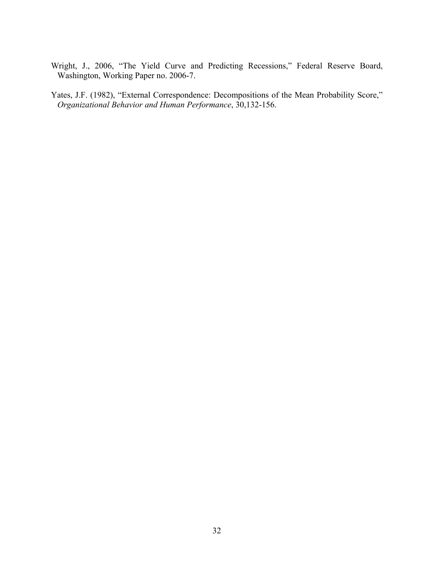- Wright, J., 2006, "The Yield Curve and Predicting Recessions," Federal Reserve Board, Washington, Working Paper no. 2006-7.
- Yates, J.F. (1982), "External Correspondence: Decompositions of the Mean Probability Score," *Organizational Behavior and Human Performance*, 30,132-156.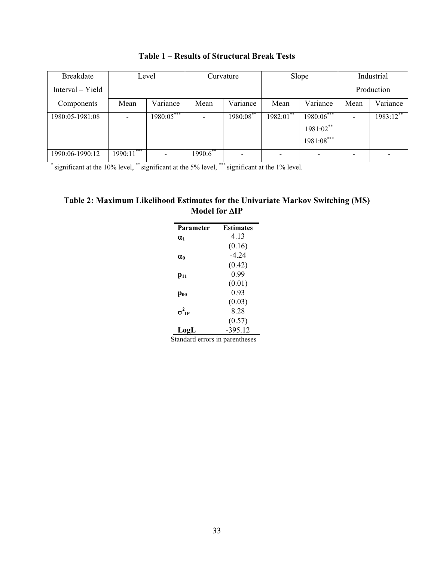| <b>Breakdate</b> | Level        |                          | Curvature                |                          | Slope     |                         | Industrial |              |
|------------------|--------------|--------------------------|--------------------------|--------------------------|-----------|-------------------------|------------|--------------|
| Interval – Yield |              |                          |                          |                          |           |                         | Production |              |
| Components       | Mean         | Variance                 | Mean                     | Variance                 | Mean      | Variance                | Mean       | Variance     |
| 1980:05-1981:08  |              | 1980:05***               | $\overline{\phantom{a}}$ | 1980:08**                | 1982:01** | 1980:06***<br>1981:02** |            | $1983:12$ ** |
|                  |              |                          |                          |                          |           | $1981:08***$            |            |              |
| 1990:06-1990:12  | $1990:11***$ | $\overline{\phantom{0}}$ | $1990:6$ **              | $\overline{\phantom{a}}$ |           |                         |            |              |

**Table 1 – Results of Structural Break Tests** 

\*significant at the 10% level, \*\*significant at the 5% level, \*\*\* significant at the 1% level.

## **Table 2: Maximum Likelihood Estimates for the Univariate Markov Switching (MS) Model for** Δ**IP**

| Parameter               | <b>Estimates</b> |
|-------------------------|------------------|
| $\alpha_1$              | 4 13             |
|                         | (0.16)           |
| αո                      | $-424$           |
|                         | (0.42)           |
| $p_{11}$                | 0.99             |
|                         | (0.01)           |
| $\mathbf{p}_{00}$       | 0.93             |
|                         | (0.03)           |
| $\sigma^2_{\text{ IP}}$ | 8 2 8            |
|                         | (0.57)           |
| Log                     | -395.12          |

Standard errors in parentheses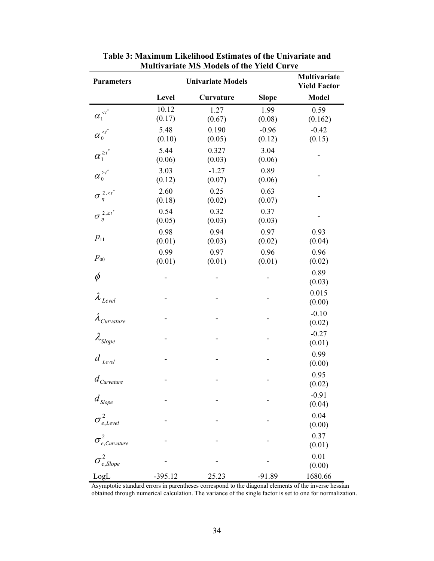| <b>Parameters</b>                        | <b>Univariate Models</b> |                   |                   | Multivariate<br><b>Yield Factor</b> |
|------------------------------------------|--------------------------|-------------------|-------------------|-------------------------------------|
|                                          | Level                    | Curvature         | <b>Slope</b>      | <b>Model</b>                        |
|                                          | 10.12<br>(0.17)          | 1.27<br>(0.67)    | 1.99<br>(0.08)    | 0.59<br>(0.162)                     |
| $\alpha_1^{< t^*}$<br>$\alpha_0^{< t^*}$ | 5.48<br>(0.10)           | 0.190<br>(0.05)   | $-0.96$<br>(0.12) | $-0.42$<br>(0.15)                   |
| $\alpha_1^{\geq t^*}$                    | 5.44<br>(0.06)           | 0.327<br>(0.03)   | 3.04<br>(0.06)    |                                     |
| $\alpha_0^{\geq t^*}$                    | 3.03<br>(0.12)           | $-1.27$<br>(0.07) | 0.89<br>(0.06)    |                                     |
| $\sigma_{\eta}^{2,\prec t^*}$            | 2.60<br>(0.18)           | 0.25<br>(0.02)    | 0.63<br>(0.07)    |                                     |
| $\sigma_{\eta}^{2,zt^*}$                 | 0.54<br>(0.05)           | 0.32<br>(0.03)    | 0.37<br>(0.03)    |                                     |
| $p_{11}$                                 | 0.98<br>(0.01)           | 0.94<br>(0.03)    | 0.97<br>(0.02)    | 0.93<br>(0.04)                      |
| $p_{00}$                                 | 0.99<br>(0.01)           | 0.97<br>(0.01)    | 0.96<br>(0.01)    | 0.96<br>(0.02)                      |
| $\phi$                                   |                          |                   |                   | 0.89<br>(0.03)                      |
| $\lambda_{Level}$                        |                          |                   |                   | 0.015<br>(0.00)                     |
| $\lambda_{\textit{Curvature}}$           |                          |                   |                   | $-0.10$<br>(0.02)                   |
| $\lambda_{Slope}$                        |                          |                   |                   | $-0.27$<br>(0.01)                   |
| $d$ $_{Level}$                           |                          |                   |                   | 0.99<br>(0.00)                      |
| $d_{\it Curvature}$                      |                          |                   |                   | 0.95<br>(0.02)                      |
| $d_{\textit{slope}}$                     |                          |                   |                   | $-0.91$<br>(0.04)                   |
| $\sigma^2_{e,Level}$                     |                          |                   |                   | 0.04<br>(0.00)                      |
| $\sigma^2_{e,Curvature}$                 |                          |                   |                   | 0.37<br>(0.01)                      |
| $\sigma^2_{e, \textit{Slope}}$           |                          |                   |                   | 0.01<br>(0.00)                      |
| LogL                                     | $-395.12$                | 25.23             | $-91.89$          | 1680.66                             |

**Table 3: Maximum Likelihood Estimates of the Univariate and Multivariate MS Models of the Yield Curve** 

Asymptotic standard errors in parentheses correspond to the diagonal elements of the inverse hessian obtained through numerical calculation. The variance of the single factor is set to one for normalization.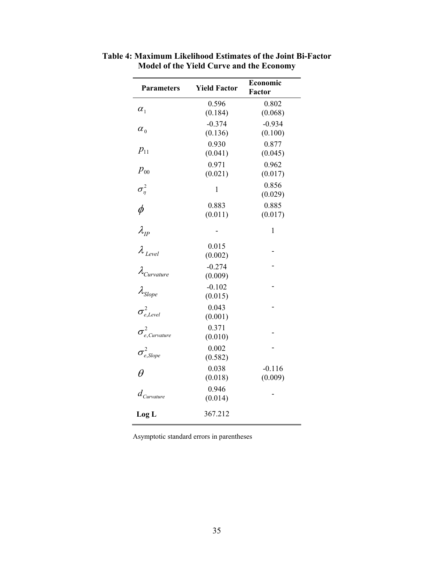| <b>Parameters</b>              | <b>Yield Factor</b> | Economic<br><b>Factor</b> |
|--------------------------------|---------------------|---------------------------|
|                                | 0.596               | 0.802                     |
| $\alpha_1$                     | (0.184)             | (0.068)                   |
| $\alpha_{0}$                   | $-0.374$            | $-0.934$                  |
|                                | (0.136)             | (0.100)                   |
| $p_{11}$                       | 0.930               | 0.877                     |
|                                | (0.041)             | (0.045)                   |
| $p_{00}$                       | 0.971               | 0.962                     |
|                                | (0.021)             | (0.017)                   |
| $\sigma_{\eta}^2$              | $\mathbf 1$         | 0.856                     |
|                                |                     | (0.029)                   |
| $\phi$                         | 0.883               | 0.885                     |
|                                | (0.011)             | (0.017)                   |
| $\lambda_{\rm IP}$             |                     | 1                         |
| $\lambda$ <sub>Level</sub>     | 0.015               |                           |
|                                | (0.002)             |                           |
|                                | $-0.274$            |                           |
| $\lambda_{Curvature}$          | (0.009)             |                           |
| $\lambda_{Slope}$              | $-0.102$            |                           |
|                                | (0.015)             |                           |
| $\sigma^2_{e,Level}$           | 0.043               |                           |
|                                | (0.001)             |                           |
| $\sigma^2_{e,Curvature}$       | 0.371               |                           |
|                                | (0.010)             |                           |
| $\sigma^2_{e, \mathit{Slope}}$ | 0.002               |                           |
|                                | (0.582)             |                           |
| $\theta$                       | 0.038               | $-0.116$                  |
|                                | (0.018)             | (0.009)                   |
| $d_{\textit{Curvature}}$       | 0.946               |                           |
|                                | (0.014)             |                           |
| Log <sub>L</sub>               | 367.212             |                           |

**Table 4: Maximum Likelihood Estimates of the Joint Bi-Factor Model of the Yield Curve and the Economy** 

Asymptotic standard errors in parentheses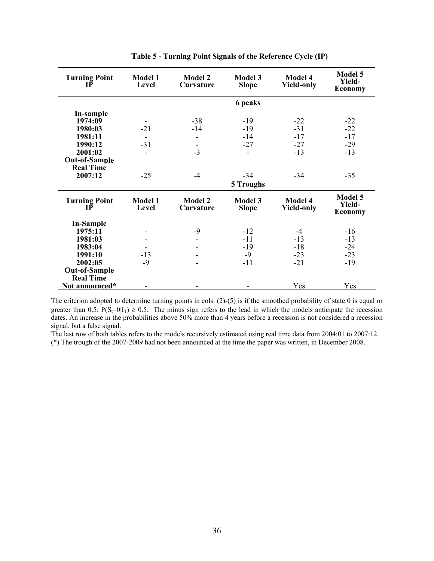| <b>Turning Point</b><br>TР | <b>Model 1</b><br>Level | <b>Model 2</b><br>Curvature | Model 3<br><b>Slope</b> | <b>Model 4</b><br><b>Yield-only</b> | Model 5<br>Yield-<br><b>Economy</b> |
|----------------------------|-------------------------|-----------------------------|-------------------------|-------------------------------------|-------------------------------------|
|                            |                         |                             | 6 peaks                 |                                     |                                     |
| In-sample                  |                         |                             |                         |                                     |                                     |
| 1974:09                    |                         | $-38$                       | $-19$                   | $-22$                               | $-22$                               |
| 1980:03                    | $-21$                   | $-14$                       | $-19$                   | $-31$                               | $-22$                               |
| 1981:11                    |                         |                             | $-14$                   | $-17$                               | $-17$                               |
| 1990:12                    | $-31$                   |                             | $-27$                   | $-27$                               | $-29$                               |
| 2001:02                    |                         | $-3$                        |                         | $-13$                               | $-13$                               |
| <b>Out-of-Sample</b>       |                         |                             |                         |                                     |                                     |
| <b>Real Time</b>           |                         |                             |                         |                                     |                                     |
| 2007:12                    | $-25$                   | $-4$                        | -34                     | $-34$                               | $-35$                               |
|                            |                         |                             | 5 Troughs               |                                     |                                     |
| <b>Turning Point</b>       | <b>Model 1</b><br>Level | <b>Model 2</b><br>Curvature | Model 3<br><b>Slope</b> | Model 4<br><b>Yield-only</b>        | Model 5<br>Yield-<br><b>Economy</b> |
| <b>In-Sample</b>           |                         |                             |                         |                                     |                                     |
| 1975:11                    |                         | $-9$                        | $-12$                   | $-4$                                | $-16$                               |
| 1981:03                    |                         |                             | $-11$                   | $-13$                               | $-13$                               |
| 1983:04                    |                         |                             | $-19$                   | $-18$                               | $-24$                               |
| 1991:10                    | $-13$                   |                             | $-9$                    | $-23$                               | $-23$                               |
| 2002:05                    | $-9$                    |                             | -11                     | $-21$                               | $-19$                               |
| <b>Out-of-Sample</b>       |                         |                             |                         |                                     |                                     |
| <b>Real Time</b>           |                         |                             |                         |                                     |                                     |
| Not announced*             |                         |                             |                         | Yes                                 | Yes                                 |

**Table 5 - Turning Point Signals of the Reference Cycle (IP)** 

The criterion adopted to determine turning points in cols. (2)-(5) is if the smoothed probability of state 0 is equal or greater than 0.5:  $P(S_t=0|I_T) \ge 0.5$ . The minus sign refers to the lead in which the models anticipate the recession dates. An increase in the probabilities above 50% more than 4 years before a recession is not considered a recession signal, but a false signal.

The last row of both tables refers to the models recursively estimated using real time data from 2004:01 to 2007:12. (\*) The trough of the 2007-2009 had not been announced at the time the paper was written, in December 2008.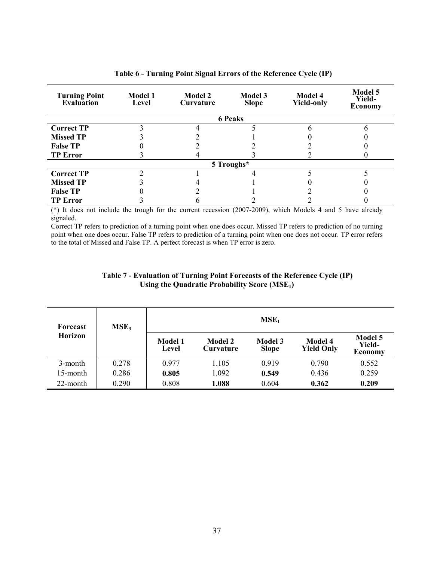| <b>Turning Point</b><br><b>Evaluation</b> | Model 1<br>Level | Model 2<br><b>Curvature</b> | Model 3<br><b>Slope</b> | Model 4<br><b>Yield-only</b> | Model 5<br>Yield-<br><b>Economy</b> |
|-------------------------------------------|------------------|-----------------------------|-------------------------|------------------------------|-------------------------------------|
|                                           |                  |                             | <b>6 Peaks</b>          |                              |                                     |
| <b>Correct TP</b>                         |                  |                             |                         |                              |                                     |
| <b>Missed TP</b>                          |                  |                             |                         |                              |                                     |
| <b>False TP</b>                           |                  |                             |                         |                              |                                     |
| <b>TP Error</b>                           |                  |                             |                         |                              |                                     |
|                                           |                  |                             | 5 Troughs*              |                              |                                     |
| <b>Correct TP</b>                         |                  |                             |                         |                              |                                     |
| <b>Missed TP</b>                          |                  |                             |                         |                              |                                     |
| <b>False TP</b>                           |                  |                             |                         |                              |                                     |
| <b>TP Error</b>                           |                  |                             |                         |                              |                                     |

(\*) It does not include the trough for the current recession (2007-2009), which Models 4 and 5 have already signaled.

Correct TP refers to prediction of a turning point when one does occur. Missed TP refers to prediction of no turning point when one does occur. False TP refers to prediction of a turning point when one does not occur. TP error refers to the total of Missed and False TP. A perfect forecast is when TP error is zero.

| Table 7 - Evaluation of Turning Point Forecasts of the Reference Cycle (IP) |
|-----------------------------------------------------------------------------|
| Using the Quadratic Probability Score $(MSE1)$                              |

| <b>Forecast</b><br><b>Horizon</b> | MSE <sub>3</sub> | MSE <sub>1</sub> |                             |                                |                                     |                                            |  |  |
|-----------------------------------|------------------|------------------|-----------------------------|--------------------------------|-------------------------------------|--------------------------------------------|--|--|
|                                   |                  | Model 1<br>Level | Model 2<br><b>Curvature</b> | <b>Model 3</b><br><b>Slope</b> | <b>Model 4</b><br><b>Yield Only</b> | <b>Model 5</b><br>Yield-<br><b>Economy</b> |  |  |
| 3-month                           | 0.278            | 0.977            | 1.105                       | 0.919                          | 0.790                               | 0.552                                      |  |  |
| 15-month                          | 0.286            | 0.805            | 1.092                       | 0.549                          | 0.436                               | 0.259                                      |  |  |
| 22-month                          | 0.290            | 0.808            | 1.088                       | 0.604                          | 0.362                               | 0.209                                      |  |  |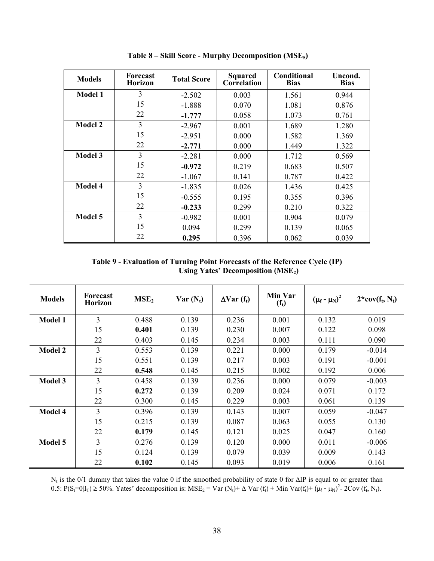| <b>Models</b>  | Forecast<br><b>Horizon</b> | <b>Total Score</b> | Squared<br>Correlation | <b>Conditional</b><br><b>Bias</b> | Uncond.<br><b>Bias</b> |
|----------------|----------------------------|--------------------|------------------------|-----------------------------------|------------------------|
| <b>Model 1</b> | 3                          | $-2.502$           | 0.003                  | 1.561                             | 0.944                  |
|                | 15                         | $-1.888$           | 0.070                  | 1.081                             | 0.876                  |
|                | 22                         | $-1.777$           | 0.058                  | 1.073                             | 0.761                  |
| <b>Model 2</b> | 3                          | $-2.967$           | 0.001                  | 1.689                             | 1.280                  |
|                | 15                         | $-2.951$           | 0.000                  | 1.582                             | 1.369                  |
|                | 22                         | $-2.771$           | 0.000                  | 1.449                             | 1.322                  |
| <b>Model 3</b> | 3                          | $-2.281$           | 0.000                  | 1.712                             | 0.569                  |
|                | 15                         | $-0.972$           | 0.219                  | 0.683                             | 0.507                  |
|                | 22                         | $-1.067$           | 0.141                  | 0.787                             | 0.422                  |
| <b>Model 4</b> | 3                          | $-1.835$           | 0.026                  | 1.436                             | 0.425                  |
|                | 15                         | $-0.555$           | 0.195                  | 0.355                             | 0.396                  |
|                | 22                         | $-0.233$           | 0.299                  | 0.210                             | 0.322                  |
| Model 5        | 3                          | $-0.982$           | 0.001                  | 0.904                             | 0.079                  |
|                | 15                         | 0.094              | 0.299                  | 0.139                             | 0.065                  |
|                | 22                         | 0.295              | 0.396                  | 0.062                             | 0.039                  |

**Table 8 – Skill Score - Murphy Decomposition (MSE5)** 

**Table 9 - Evaluation of Turning Point Forecasts of the Reference Cycle (IP) Using Yates' Decomposition (MSE2)** 

| <b>Models</b>  | Forecast<br><b>Horizon</b> | MSE <sub>2</sub> | $Var(N_t)$ | $\Delta Var(f_t)$ | Min Var<br>$(f_t)$ | $(\mu_f - \mu_N)^2$ | $2*cov(f_t, N_t)$ |
|----------------|----------------------------|------------------|------------|-------------------|--------------------|---------------------|-------------------|
| <b>Model 1</b> | 3                          | 0.488            | 0.139      | 0.236             | 0.001              | 0.132               | 0.019             |
|                | 15                         | 0.401            | 0.139      | 0.230             | 0.007              | 0.122               | 0.098             |
|                | 22                         | 0.403            | 0.145      | 0.234             | 0.003              | 0.111               | 0.090             |
| <b>Model 2</b> | 3                          | 0.553            | 0.139      | 0.221             | 0.000              | 0.179               | $-0.014$          |
|                | 15                         | 0.551            | 0.139      | 0.217             | 0.003              | 0.191               | $-0.001$          |
|                | 22                         | 0.548            | 0.145      | 0.215             | 0.002              | 0.192               | 0.006             |
| <b>Model 3</b> | $\overline{3}$             | 0.458            | 0.139      | 0.236             | 0.000              | 0.079               | $-0.003$          |
|                | 15                         | 0.272            | 0.139      | 0.209             | 0.024              | 0.071               | 0.172             |
|                | 22                         | 0.300            | 0.145      | 0.229             | 0.003              | 0.061               | 0.139             |
| Model 4        | 3                          | 0.396            | 0.139      | 0.143             | 0.007              | 0.059               | $-0.047$          |
|                | 15                         | 0.215            | 0.139      | 0.087             | 0.063              | 0.055               | 0.130             |
|                | 22                         | 0.179            | 0.145      | 0.121             | 0.025              | 0.047               | 0.160             |
| Model 5        | 3                          | 0.276            | 0.139      | 0.120             | 0.000              | 0.011               | $-0.006$          |
|                | 15                         | 0.124            | 0.139      | 0.079             | 0.039              | 0.009               | 0.143             |
|                | 22                         | 0.102            | 0.145      | 0.093             | 0.019              | 0.006               | 0.161             |

 $N_t$  is the 0/1 dummy that takes the value 0 if the smoothed probability of state 0 for  $\Delta IP$  is equal to or greater than 0.5:  $P(S_t=0|I_T) \ge 50\%$ . Yates' decomposition is:  $MSE_2 = Var(N_t) + \Delta Var(f_t) + Min Var(f_t) + (\mu_f - \mu_N)^2 - 2Cov(f_t, N_t)$ .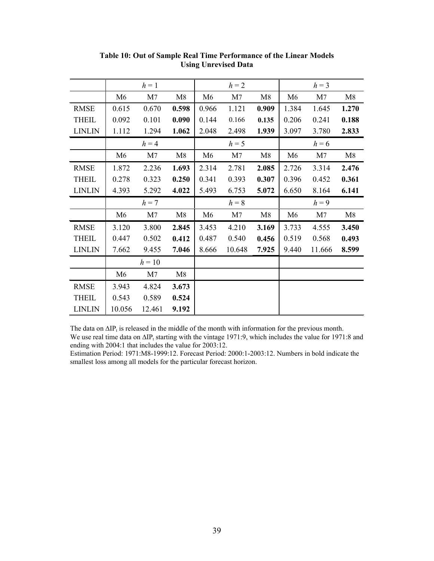|               |                | $h=1$          |       |                | $h = 2$        |       |                | $h = 3$        |                |
|---------------|----------------|----------------|-------|----------------|----------------|-------|----------------|----------------|----------------|
|               | M6             | M <sub>7</sub> | M8    | M <sub>6</sub> | M <sub>7</sub> | M8    | M <sub>6</sub> | M <sub>7</sub> | M <sub>8</sub> |
| <b>RMSE</b>   | 0.615          | 0.670          | 0.598 | 0.966          | 1.121          | 0.909 | 1.384          | 1.645          | 1.270          |
| <b>THEIL</b>  | 0.092          | 0.101          | 0.090 | 0.144          | 0.166          | 0.135 | 0.206          | 0.241          | 0.188          |
| <b>LINLIN</b> | 1.112          | 1.294          | 1.062 | 2.048          | 2.498          | 1.939 | 3.097          | 3.780          | 2.833          |
|               |                | $h = 4$        |       |                | $h = 5$        |       |                | $h = 6$        |                |
|               | M <sub>6</sub> | M <sub>7</sub> | M8    | M <sub>6</sub> | M <sub>7</sub> | M8    | M <sub>6</sub> | M <sub>7</sub> | M8             |
| <b>RMSE</b>   | 1.872          | 2.236          | 1.693 | 2.314          | 2.781          | 2.085 | 2.726          | 3.314          | 2.476          |
| <b>THEIL</b>  | 0.278          | 0.323          | 0.250 | 0.341          | 0.393          | 0.307 | 0.396          | 0.452          | 0.361          |
| <b>LINLIN</b> | 4.393          | 5.292          | 4.022 | 5.493          | 6.753          | 5.072 | 6.650          | 8.164          | 6.141          |
|               |                | $h = 7$        |       |                | $h = 8$        |       |                | $h = 9$        |                |
|               | M <sub>6</sub> | M <sub>7</sub> | M8    | M6             | M <sub>7</sub> | M8    | M <sub>6</sub> | M <sub>7</sub> | M8             |
| <b>RMSE</b>   | 3.120          | 3.800          | 2.845 | 3.453          | 4.210          | 3.169 | 3.733          | 4.555          | 3.450          |
| <b>THEIL</b>  | 0.447          | 0.502          | 0.412 | 0.487          | 0.540          | 0.456 | 0.519          | 0.568          | 0.493          |
| <b>LINLIN</b> | 7.662          | 9.455          | 7.046 | 8.666          | 10.648         | 7.925 | 9.440          | 11.666         | 8.599          |
|               |                | $h=10$         |       |                |                |       |                |                |                |
|               | M6             | M7             | M8    |                |                |       |                |                |                |
| <b>RMSE</b>   | 3.943          | 4.824          | 3.673 |                |                |       |                |                |                |
| <b>THEIL</b>  | 0.543          | 0.589          | 0.524 |                |                |       |                |                |                |
| <b>LINLIN</b> | 10.056         | 12.461         | 9.192 |                |                |       |                |                |                |

**Table 10: Out of Sample Real Time Performance of the Linear Models Using Unrevised Data** 

The data on  $\Delta IP_t$  is released in the middle of the month with information for the previous month.

We use real time data on  $\Delta IP_t$  starting with the vintage 1971:9, which includes the value for 1971:8 and ending with 2004:1 that includes the value for 2003:12.

Estimation Period: 1971:M8-1999:12. Forecast Period: 2000:1-2003:12. Numbers in bold indicate the smallest loss among all models for the particular forecast horizon.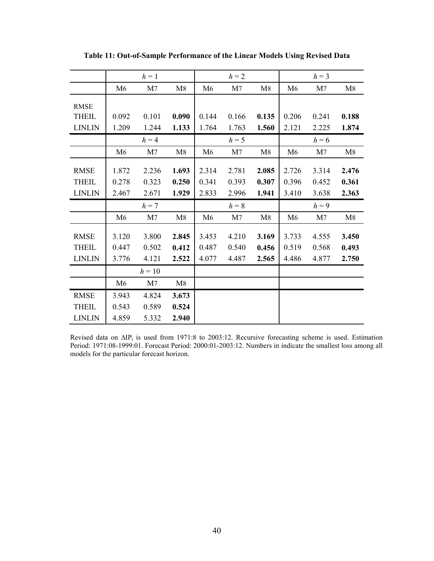|               |       | $h=1$          |       |                | $h = 2$        |       |                | $h = 3$        |       |
|---------------|-------|----------------|-------|----------------|----------------|-------|----------------|----------------|-------|
|               | M6    | M <sub>7</sub> | M8    | M <sub>6</sub> | M <sub>7</sub> | M8    | M6             | M <sub>7</sub> | M8    |
| <b>RMSE</b>   |       |                |       |                |                |       |                |                |       |
| <b>THEIL</b>  | 0.092 | 0.101          | 0.090 | 0.144          | 0.166          | 0.135 | 0.206          | 0.241          | 0.188 |
| <b>LINLIN</b> | 1.209 | 1.244          | 1.133 | 1.764          | 1.763          | 1.560 | 2.121          | 2.225          | 1.874 |
|               |       | $h = 4$        |       |                | $h = 5$        |       |                | $h = 6$        |       |
|               | M6    | M <sub>7</sub> | M8    | M <sub>6</sub> | M <sub>7</sub> | M8    | M <sub>6</sub> | M <sub>7</sub> | M8    |
| <b>RMSE</b>   | 1.872 | 2.236          | 1.693 | 2.314          | 2.781          | 2.085 | 2.726          | 3.314          | 2.476 |
| <b>THEIL</b>  | 0.278 | 0.323          | 0.250 | 0.341          | 0.393          | 0.307 | 0.396          | 0.452          | 0.361 |
| <b>LINLIN</b> | 2.467 | 2.671          | 1.929 | 2.833          | 2.996          | 1.941 | 3.410          | 3.638          | 2.363 |
|               |       | $h = 7$        |       |                | $h = 8$        |       |                | $h = 9$        |       |
|               | M6    | M <sub>7</sub> | M8    | M <sub>6</sub> | M <sub>7</sub> | M8    | M6             | M <sub>7</sub> | M8    |
| <b>RMSE</b>   | 3.120 | 3.800          | 2.845 | 3.453          | 4.210          | 3.169 | 3.733          | 4.555          | 3.450 |
| <b>THEIL</b>  | 0.447 | 0.502          | 0.412 | 0.487          | 0.540          | 0.456 | 0.519          | 0.568          | 0.493 |
| <b>LINLIN</b> | 3.776 | 4.121          | 2.522 | 4.077          | 4.487          | 2.565 | 4.486          | 4.877          | 2.750 |
|               |       | $h = 10$       |       |                |                |       |                |                |       |
|               | M6    | M <sub>7</sub> | M8    |                |                |       |                |                |       |
| <b>RMSE</b>   | 3.943 | 4.824          | 3.673 |                |                |       |                |                |       |
| <b>THEIL</b>  | 0.543 | 0.589          | 0.524 |                |                |       |                |                |       |
| <b>LINLIN</b> | 4.859 | 5.332          | 2.940 |                |                |       |                |                |       |

**Table 11: Out-of-Sample Performance of the Linear Models Using Revised Data** 

Revised data on  $\Delta IP_t$  is used from 1971:8 to 2003:12. Recursive forecasting scheme is used. Estimation Period: 1971:08-1999:01. Forecast Period: 2000:01-2003:12. Numbers in indicate the smallest loss among all models for the particular forecast horizon.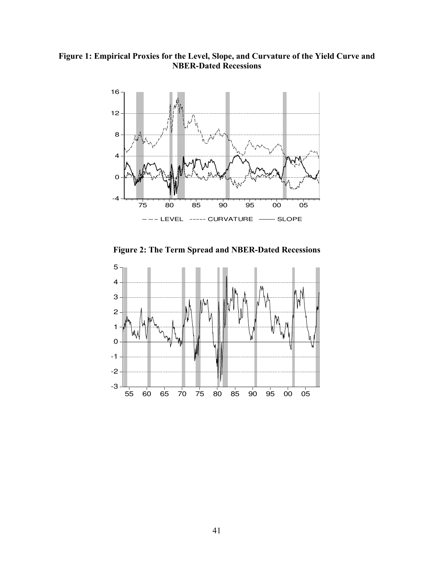## **Figure 1: Empirical Proxies for the Level, Slope, and Curvature of the Yield Curve and NBER-Dated Recessions**



**Figure 2: The Term Spread and NBER-Dated Recessions** 

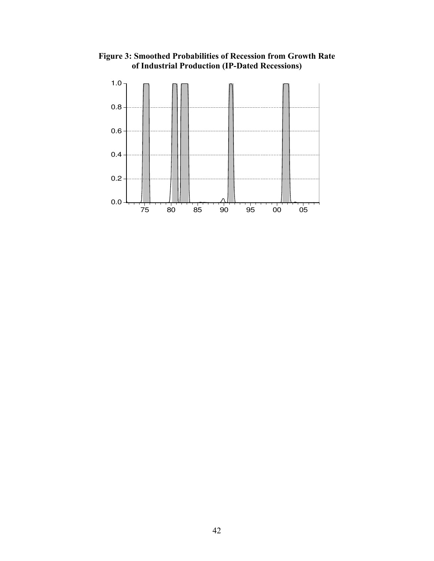

**Figure 3: Smoothed Probabilities of Recession from Growth Rate of Industrial Production (IP-Dated Recessions)**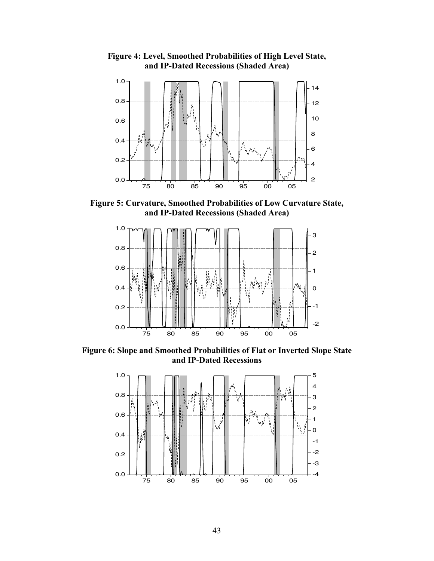

**Figure 4: Level, Smoothed Probabilities of High Level State, and IP-Dated Recessions (Shaded Area)** 

**Figure 5: Curvature, Smoothed Probabilities of Low Curvature State, and IP-Dated Recessions (Shaded Area)** 



**Figure 6: Slope and Smoothed Probabilities of Flat or Inverted Slope State and IP-Dated Recessions**

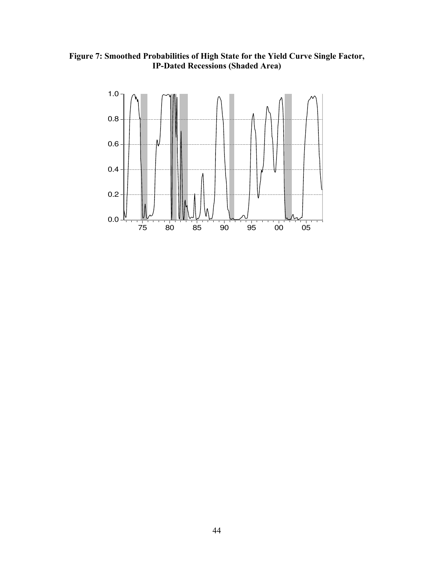